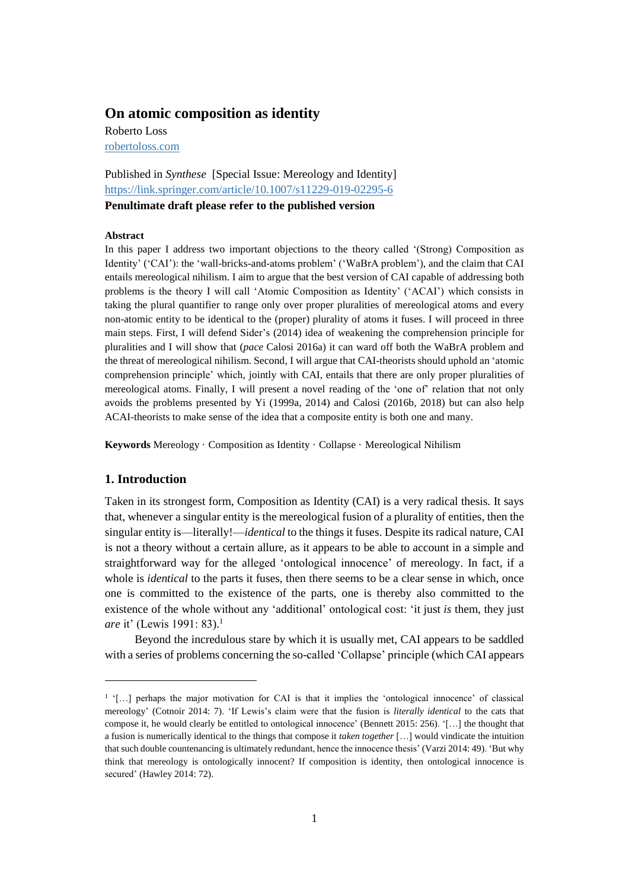# **On atomic composition as identity**

Roberto Loss <robertoloss.com>

Published in *Synthese* [Special Issue: Mereology and Identity] <https://link.springer.com/article/10.1007/s11229-019-02295-6> **Penultimate draft please refer to the published version**

#### **Abstract**

In this paper I address two important objections to the theory called '(Strong) Composition as Identity' ('CAI'): the 'wall-bricks-and-atoms problem' ('WaBrA problem'), and the claim that CAI entails mereological nihilism. I aim to argue that the best version of CAI capable of addressing both problems is the theory I will call 'Atomic Composition as Identity' ('ACAI') which consists in taking the plural quantifier to range only over proper pluralities of mereological atoms and every non-atomic entity to be identical to the (proper) plurality of atoms it fuses. I will proceed in three main steps. First, I will defend Sider's (2014) idea of weakening the comprehension principle for pluralities and I will show that (*pace* Calosi 2016a) it can ward off both the WaBrA problem and the threat of mereological nihilism. Second, I will argue that CAI-theorists should uphold an 'atomic comprehension principle' which, jointly with CAI, entails that there are only proper pluralities of mereological atoms. Finally, I will present a novel reading of the 'one of' relation that not only avoids the problems presented by Yi (1999a, 2014) and Calosi (2016b, 2018) but can also help ACAI-theorists to make sense of the idea that a composite entity is both one and many.

**Keywords** Mereology · Composition as Identity · Collapse · Mereological Nihilism

# **1. Introduction**

l

Taken in its strongest form, Composition as Identity (CAI) is a very radical thesis. It says that, whenever a singular entity is the mereological fusion of a plurality of entities, then the singular entity is—literally!—*identical* to the things it fuses. Despite its radical nature, CAI is not a theory without a certain allure, as it appears to be able to account in a simple and straightforward way for the alleged 'ontological innocence' of mereology. In fact, if a whole is *identical* to the parts it fuses, then there seems to be a clear sense in which, once one is committed to the existence of the parts, one is thereby also committed to the existence of the whole without any 'additional' ontological cost: 'it just *is* them, they just *are* it' (Lewis 1991: 83).<sup>1</sup>

Beyond the incredulous stare by which it is usually met, CAI appears to be saddled with a series of problems concerning the so-called 'Collapse' principle (which CAI appears

<sup>&</sup>lt;sup>1</sup> '[...] perhaps the major motivation for CAI is that it implies the 'ontological innocence' of classical mereology' (Cotnoir 2014: 7). 'If Lewis's claim were that the fusion is *literally identical* to the cats that compose it, he would clearly be entitled to ontological innocence' (Bennett 2015: 256). '[…] the thought that a fusion is numerically identical to the things that compose it *taken together* […] would vindicate the intuition that such double countenancing is ultimately redundant, hence the innocence thesis' (Varzi 2014: 49). 'But why think that mereology is ontologically innocent? If composition is identity, then ontological innocence is secured' (Hawley 2014: 72).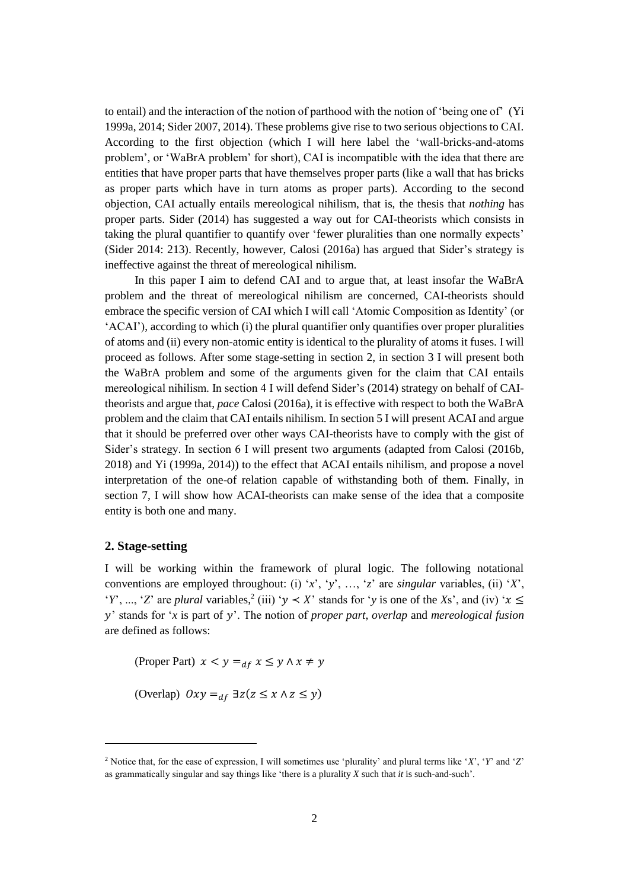to entail) and the interaction of the notion of parthood with the notion of 'being one of' (Yi 1999a, 2014; Sider 2007, 2014). These problems give rise to two serious objections to CAI. According to the first objection (which I will here label the 'wall-bricks-and-atoms problem', or 'WaBrA problem' for short), CAI is incompatible with the idea that there are entities that have proper parts that have themselves proper parts (like a wall that has bricks as proper parts which have in turn atoms as proper parts). According to the second objection, CAI actually entails mereological nihilism, that is, the thesis that *nothing* has proper parts. Sider (2014) has suggested a way out for CAI-theorists which consists in taking the plural quantifier to quantify over 'fewer pluralities than one normally expects' (Sider 2014: 213). Recently, however, Calosi (2016a) has argued that Sider's strategy is ineffective against the threat of mereological nihilism.

In this paper I aim to defend CAI and to argue that, at least insofar the WaBrA problem and the threat of mereological nihilism are concerned, CAI-theorists should embrace the specific version of CAI which I will call 'Atomic Composition as Identity' (or 'ACAI'), according to which (i) the plural quantifier only quantifies over proper pluralities of atoms and (ii) every non-atomic entity is identical to the plurality of atoms it fuses. I will proceed as follows. After some stage-setting in section 2, in section 3 I will present both the WaBrA problem and some of the arguments given for the claim that CAI entails mereological nihilism. In section 4 I will defend Sider's (2014) strategy on behalf of CAItheorists and argue that, *pace* Calosi (2016a), it is effective with respect to both the WaBrA problem and the claim that CAI entails nihilism. In section 5 I will present ACAI and argue that it should be preferred over other ways CAI-theorists have to comply with the gist of Sider's strategy. In section 6 I will present two arguments (adapted from Calosi (2016b, 2018) and Yi (1999a, 2014)) to the effect that ACAI entails nihilism, and propose a novel interpretation of the one-of relation capable of withstanding both of them. Finally, in section 7, I will show how ACAI-theorists can make sense of the idea that a composite entity is both one and many.

### **2. Stage-setting**

l

I will be working within the framework of plural logic. The following notational conventions are employed throughout: (i) '*x*', '*y*', …, '*z*' are *singular* variables, (ii) '*X*', '*Y*', ..., '*Z*' are *plural* variables,<sup>2</sup> (iii) ' $y \lt X$ ' stands for '*y* is one of the *Xs*', and (iv) ' $x \le$ ' stands for '*x* is part of '. The notion of *proper part*, *overlap* and *mereological fusion* are defined as follows:

(Proper Part)  $x < y =_{df} x \le y \land x \ne y$ 

(Overlap)  $0xy =_{df} \exists z(z \le x \land z \le y)$ 

<sup>2</sup> Notice that, for the ease of expression, I will sometimes use 'plurality' and plural terms like '*X*', '*Y*' and '*Z*' as grammatically singular and say things like 'there is a plurality *X* such that *it* is such-and-such'.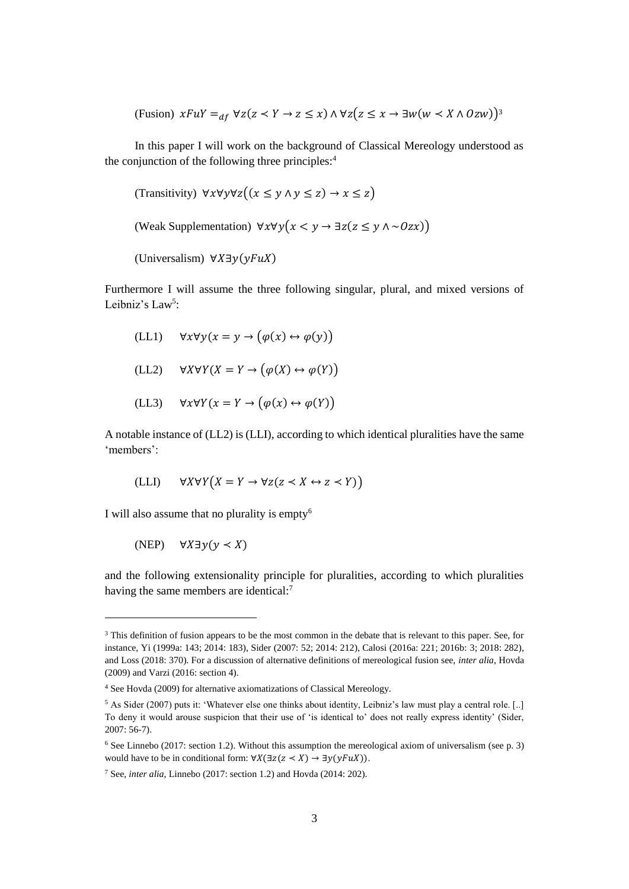(Fusion)  $xFuY =_{df} \forall z(z \prec Y \rightarrow z \leq x) \land \forall z(z \leq x \rightarrow \exists w(w \prec X \land Ozw))$ <sup>3</sup>

In this paper I will work on the background of Classical Mereology understood as the conjunction of the following three principles:<sup>4</sup>

(Transitivity)  $\forall x \forall y \forall z ((x \le y \land y \le z) \rightarrow x \le z)$ 

(Weak Supplementation)  $\forall x \forall y (x \leq y \rightarrow \exists z (z \leq y \land \sim 0zx))$ 

(Universalism)  $\forall X \exists y(yFuX)$ 

Furthermore I will assume the three following singular, plural, and mixed versions of Leibniz's Law<sup>5</sup>:

$$
(LL1) \qquad \forall x \forall y (x = y \rightarrow (\varphi(x) \leftrightarrow \varphi(y))
$$

$$
(LL2) \quad \forall X \forall Y (X = Y \rightarrow (\varphi(X) \leftrightarrow \varphi(Y))
$$

(LL3)  $\forall x \forall Y(x = Y \rightarrow (\varphi(x) \leftrightarrow \varphi(Y))$ 

A notable instance of (LL2) is (LLI), according to which identical pluralities have the same 'members':

$$
(LLI) \qquad \forall X \forall Y \big( X = Y \to \forall z (z \prec X \leftrightarrow z \prec Y) \big)
$$

I will also assume that no plurality is empty<sup>6</sup>

 $(NEP)$   $\forall X \exists y (y \prec X)$ 

 $\overline{\phantom{a}}$ 

and the following extensionality principle for pluralities, according to which pluralities having the same members are identical:<sup>7</sup>

<sup>&</sup>lt;sup>3</sup> This definition of fusion appears to be the most common in the debate that is relevant to this paper. See, for instance, Yi (1999a: 143; 2014: 183), Sider (2007: 52; 2014: 212), Calosi (2016a: 221; 2016b: 3; 2018: 282), and Loss (2018: 370). For a discussion of alternative definitions of mereological fusion see, *inter alia*, Hovda (2009) and Varzi (2016: section 4).

<sup>4</sup> See Hovda (2009) for alternative axiomatizations of Classical Mereology.

 $5$  As Sider (2007) puts it: 'Whatever else one thinks about identity, Leibniz's law must play a central role. [..] To deny it would arouse suspicion that their use of 'is identical to' does not really express identity' (Sider, 2007: 56-7).

<sup>6</sup> See Linnebo (2017: section 1.2). Without this assumption the mereological axiom of universalism (see p. 3) would have to be in conditional form:  $\forall X(\exists z(z \prec X) \rightarrow \exists y(yFuX))$ .

<sup>7</sup> See, *inter alia*, Linnebo (2017: section 1.2) and Hovda (2014: 202).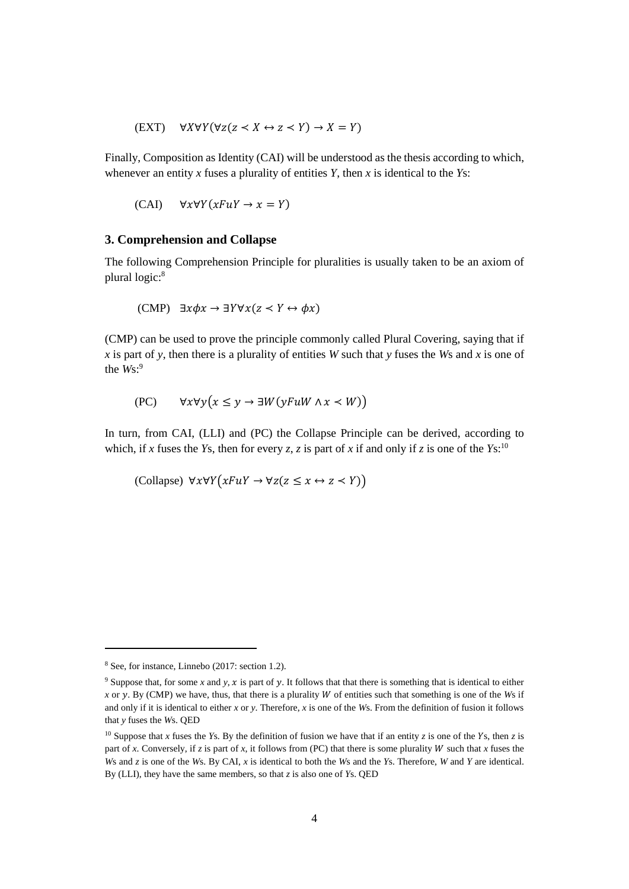$$
(EXT) \quad \forall X \forall Y (\forall z (z \prec X \leftrightarrow z \prec Y) \rightarrow X = Y)
$$

Finally, Composition as Identity (CAI) will be understood as the thesis according to which, whenever an entity  $x$  fuses a plurality of entities  $Y$ , then  $x$  is identical to the  $Y$ s:

$$
(CAI) \quad \forall x \forall Y (xFuY \rightarrow x = Y)
$$

# **3. Comprehension and Collapse**

The following Comprehension Principle for pluralities is usually taken to be an axiom of plural logic:<sup>8</sup>

$$
(CMP) \quad \exists x \phi x \rightarrow \exists Y \forall x (z \prec Y \leftrightarrow \phi x)
$$

(CMP) can be used to prove the principle commonly called Plural Covering, saying that if *x* is part of *y*, then there is a plurality of entities *W* such that *y* fuses the *W*s and *x* is one of the *W*s: 9

$$
(\text{PC}) \qquad \forall x \forall y \big( x \le y \to \exists W \big( y \text{FuW} \land x < W \big) \big)
$$

In turn, from CAI, (LLI) and (PC) the Collapse Principle can be derived, according to which, if *x* fuses the *Y*s, then for every *z*, *z* is part of *x* if and only if *z* is one of the *Y*s:<sup>10</sup>

(Collapse)  $\forall x \forall Y(xFuY \rightarrow \forall z(z \leq x \leftrightarrow z \leq Y))$ 

<sup>8</sup> See, for instance, Linnebo (2017: section 1.2).

<sup>&</sup>lt;sup>9</sup> Suppose that, for some *x* and *y*, *x* is part of *y*. It follows that that there is something that is identical to either *x* or *y*. By (CMP) we have, thus, that there is a plurality *W* of entities such that something is one of the *Ws* if and only if it is identical to either *x* or *y*. Therefore, *x* is one of the *W*s. From the definition of fusion it follows that *y* fuses the *W*s. QED

<sup>&</sup>lt;sup>10</sup> Suppose that *x* fuses the *Y*s. By the definition of fusion we have that if an entity *z* is one of the *Y*s, then *z* is part of *x*. Conversely, if *z* is part of *x*, it follows from (PC) that there is some plurality  $W$  such that *x* fuses the *W*s and *z* is one of the *W*s. By CAI, *x* is identical to both the *W*s and the *Y*s. Therefore, *W* and *Y* are identical. By (LLI), they have the same members, so that *z* is also one of *Y*s. QED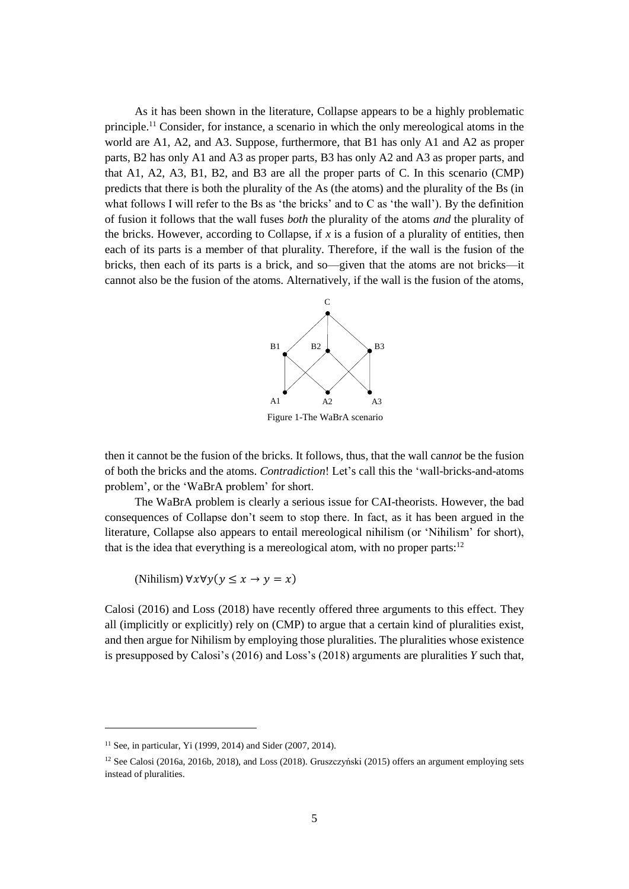As it has been shown in the literature, Collapse appears to be a highly problematic principle.<sup>11</sup> Consider, for instance, a scenario in which the only mereological atoms in the world are A1, A2, and A3. Suppose, furthermore, that B1 has only A1 and A2 as proper parts, B2 has only A1 and A3 as proper parts, B3 has only A2 and A3 as proper parts, and that A1, A2, A3, B1, B2, and B3 are all the proper parts of C. In this scenario (CMP) predicts that there is both the plurality of the As (the atoms) and the plurality of the Bs (in what follows I will refer to the Bs as 'the bricks' and to C as 'the wall'). By the definition of fusion it follows that the wall fuses *both* the plurality of the atoms *and* the plurality of the bricks. However, according to Collapse, if *x* is a fusion of a plurality of entities, then each of its parts is a member of that plurality. Therefore, if the wall is the fusion of the bricks, then each of its parts is a brick, and so—given that the atoms are not bricks—it cannot also be the fusion of the atoms. Alternatively, if the wall is the fusion of the atoms,



Figure 1-The WaBrA scenario

then it cannot be the fusion of the bricks. It follows, thus, that the wall can*not* be the fusion of both the bricks and the atoms. *Contradiction*! Let's call this the 'wall-bricks-and-atoms problem', or the 'WaBrA problem' for short.

The WaBrA problem is clearly a serious issue for CAI-theorists. However, the bad consequences of Collapse don't seem to stop there. In fact, as it has been argued in the literature, Collapse also appears to entail mereological nihilism (or 'Nihilism' for short), that is the idea that everything is a mereological atom, with no proper parts: $12$ 

(Nihilism)  $\forall x \forall y (y \leq x \rightarrow y = x)$ 

Calosi (2016) and Loss (2018) have recently offered three arguments to this effect. They all (implicitly or explicitly) rely on (CMP) to argue that a certain kind of pluralities exist, and then argue for Nihilism by employing those pluralities. The pluralities whose existence is presupposed by Calosi's (2016) and Loss's (2018) arguments are pluralities *Y* such that,

<sup>11</sup> See, in particular, Yi (1999, 2014) and Sider (2007, 2014).

 $12$  See Calosi (2016a, 2016b, 2018), and Loss (2018). Gruszczyński (2015) offers an argument employing sets instead of pluralities.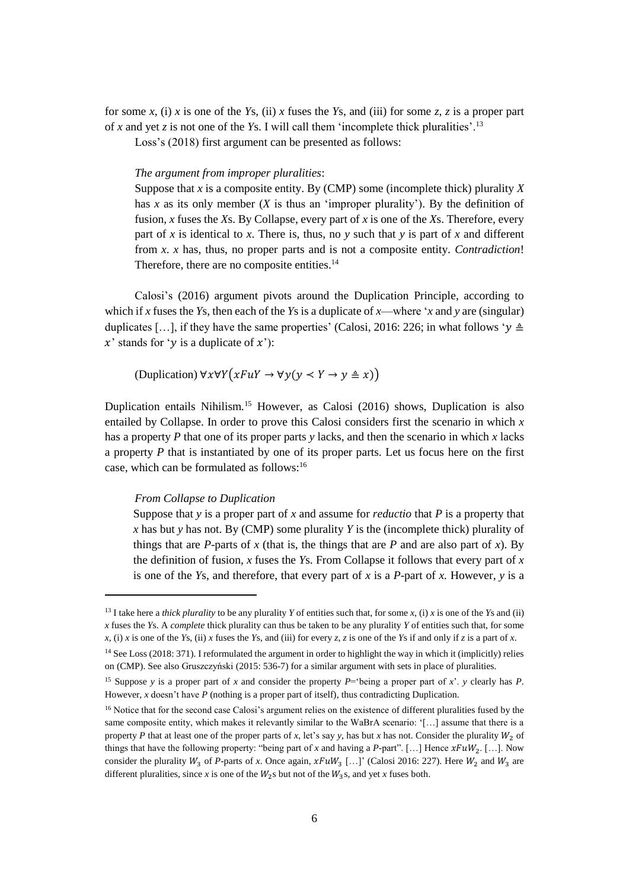for some *x*, (i) *x* is one of the *Y*s, (ii) *x* fuses the *Y*s, and (iii) for some *z*, *z* is a proper part of *x* and yet *z* is not one of the *Y*s. I will call them 'incomplete thick pluralities'.<sup>13</sup>

Loss's (2018) first argument can be presented as follows:

#### *The argument from improper pluralities*:

Suppose that *x* is a composite entity. By (CMP) some (incomplete thick) plurality *X* has *x* as its only member (*X* is thus an 'improper plurality'). By the definition of fusion, *x* fuses the *X*s. By Collapse, every part of *x* is one of the *X*s. Therefore, every part of *x* is identical to *x*. There is, thus, no *y* such that *y* is part of *x* and different from *x*. *x* has, thus, no proper parts and is not a composite entity. *Contradiction*! Therefore, there are no composite entities.<sup>14</sup>

Calosi's (2016) argument pivots around the Duplication Principle, according to which if *x* fuses the *Y*s, then each of the *Y*s is a duplicate of *x*—where '*x* and *y* are (singular) duplicates […], if they have the same properties' (Calosi, 2016: 226; in what follows ' $y \triangleq$  $x'$  stands for 'y is a duplicate of x'):

# (Duplication)  $\forall x \forall Y(xFuY \rightarrow \forall y(y \prec Y \rightarrow y \triangleq x))$

Duplication entails Nihilism.<sup>15</sup> However, as Calosi (2016) shows, Duplication is also entailed by Collapse. In order to prove this Calosi considers first the scenario in which *x* has a property *P* that one of its proper parts *y* lacks, and then the scenario in which *x* lacks a property *P* that is instantiated by one of its proper parts. Let us focus here on the first case, which can be formulated as follows: 16

## *From Collapse to Duplication*

 $\overline{a}$ 

Suppose that *y* is a proper part of *x* and assume for *reductio* that *P* is a property that *x* has but *y* has not. By (CMP) some plurality *Y* is the (incomplete thick) plurality of things that are *P*-parts of *x* (that is, the things that are *P* and are also part of *x*). By the definition of fusion, *x* fuses the *Y*s. From Collapse it follows that every part of *x* is one of the *Y*s, and therefore, that every part of *x* is a *P*-part of *x.* However, *y* is a

<sup>&</sup>lt;sup>13</sup> I take here a *thick plurality* to be any plurality *Y* of entities such that, for some *x*, (i) *x* is one of the *Y*s and (ii) *x* fuses the *Y*s. A *complete* thick plurality can thus be taken to be any plurality *Y* of entities such that, for some  $x$ , (i) *x* is one of the *Y*s, (ii) *x* fuses the *Y*s, and (iii) for every *z*, *z* is one of the *Y*s if and only if *z* is a part of *x*.

<sup>&</sup>lt;sup>14</sup> See Loss (2018: 371). I reformulated the argument in order to highlight the way in which it (implicitly) relies on (CMP). See also Gruszczyński (2015: 536-7) for a similar argument with sets in place of pluralities.

<sup>&</sup>lt;sup>15</sup> Suppose *y* is a proper part of *x* and consider the property *P*='being a proper part of *x*'. *y* clearly has *P*. However, *x* doesn't have *P* (nothing is a proper part of itself), thus contradicting Duplication.

<sup>&</sup>lt;sup>16</sup> Notice that for the second case Calosi's argument relies on the existence of different pluralities fused by the same composite entity, which makes it relevantly similar to the WaBrA scenario: '[...] assume that there is a property *P* that at least one of the proper parts of *x*, let's say *y*, has but *x* has not. Consider the plurality  $W_2$  of things that have the following property: "being part of *x* and having a *P*-part". [...] Hence  $xFuW_2$ . [...]. Now consider the plurality  $W_3$  of *P*-parts of *x*. Once again,  $xFuW_3$  [...]' (Calosi 2016: 227). Here  $W_2$  and  $W_3$  are different pluralities, since *x* is one of the  $W_2$ s but not of the  $W_3$ s, and yet *x* fuses both.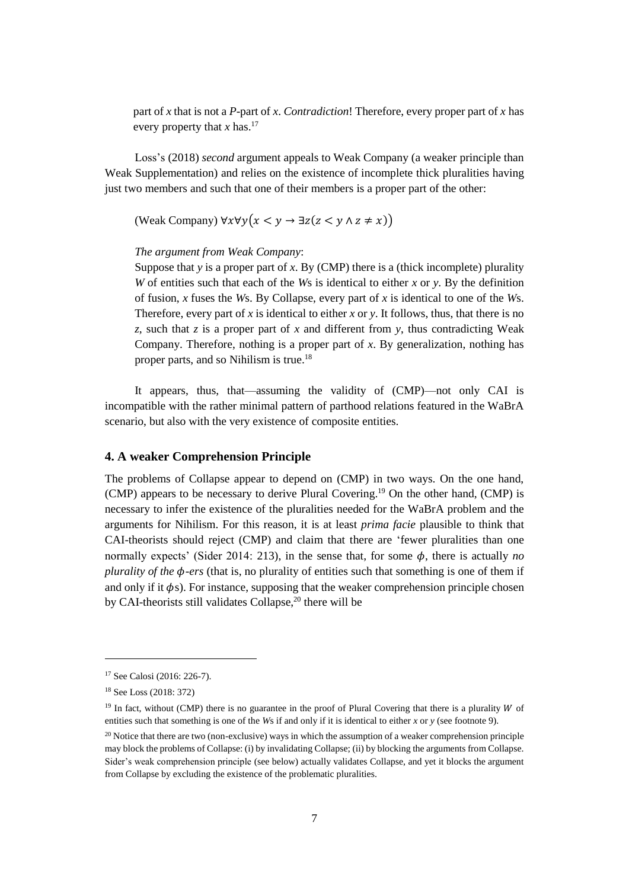part of *x* that is not a *P*-part of *x*. *Contradiction*! Therefore, every proper part of *x* has every property that  $x$  has.<sup>17</sup>

Loss's (2018) *second* argument appeals to Weak Company (a weaker principle than Weak Supplementation) and relies on the existence of incomplete thick pluralities having just two members and such that one of their members is a proper part of the other:

(Weak Company)  $\forall x \forall y (x \leq y \rightarrow \exists z (z \leq y \land z \neq x))$ 

### *The argument from Weak Company*:

Suppose that *y* is a proper part of *x*. By (CMP) there is a (thick incomplete) plurality *W* of entities such that each of the *W*s is identical to either *x* or *y*. By the definition of fusion, *x* fuses the *W*s. By Collapse, every part of *x* is identical to one of the *W*s. Therefore, every part of *x* is identical to either *x* or *y*. It follows, thus, that there is no *z*, such that *z* is a proper part of *x* and different from *y*, thus contradicting Weak Company. Therefore, nothing is a proper part of *x*. By generalization, nothing has proper parts, and so Nihilism is true.<sup>18</sup>

It appears, thus, that—assuming the validity of (CMP)—not only CAI is incompatible with the rather minimal pattern of parthood relations featured in the WaBrA scenario, but also with the very existence of composite entities.

# **4. A weaker Comprehension Principle**

The problems of Collapse appear to depend on (CMP) in two ways. On the one hand, (CMP) appears to be necessary to derive Plural Covering. <sup>19</sup> On the other hand, (CMP) is necessary to infer the existence of the pluralities needed for the WaBrA problem and the arguments for Nihilism. For this reason, it is at least *prima facie* plausible to think that CAI-theorists should reject (CMP) and claim that there are 'fewer pluralities than one normally expects' (Sider 2014: 213), in the sense that, for some  $\phi$ , there is actually *no plurality of the* φ-*ers* (that is, no plurality of entities such that something is one of them if and only if it  $\phi$ s). For instance, supposing that the weaker comprehension principle chosen by CAI-theorists still validates Collapse, $20$  there will be

 $\overline{\phantom{a}}$ 

<sup>17</sup> See Calosi (2016: 226-7).

<sup>18</sup> See Loss (2018: 372)

<sup>&</sup>lt;sup>19</sup> In fact, without (CMP) there is no guarantee in the proof of Plural Covering that there is a plurality  $W$  of entities such that something is one of the *W*s if and only if it is identical to either *x* or *y* (see footnote 9).

 $20$  Notice that there are two (non-exclusive) ways in which the assumption of a weaker comprehension principle may block the problems of Collapse: (i) by invalidating Collapse; (ii) by blocking the arguments from Collapse. Sider's weak comprehension principle (see below) actually validates Collapse, and yet it blocks the argument from Collapse by excluding the existence of the problematic pluralities.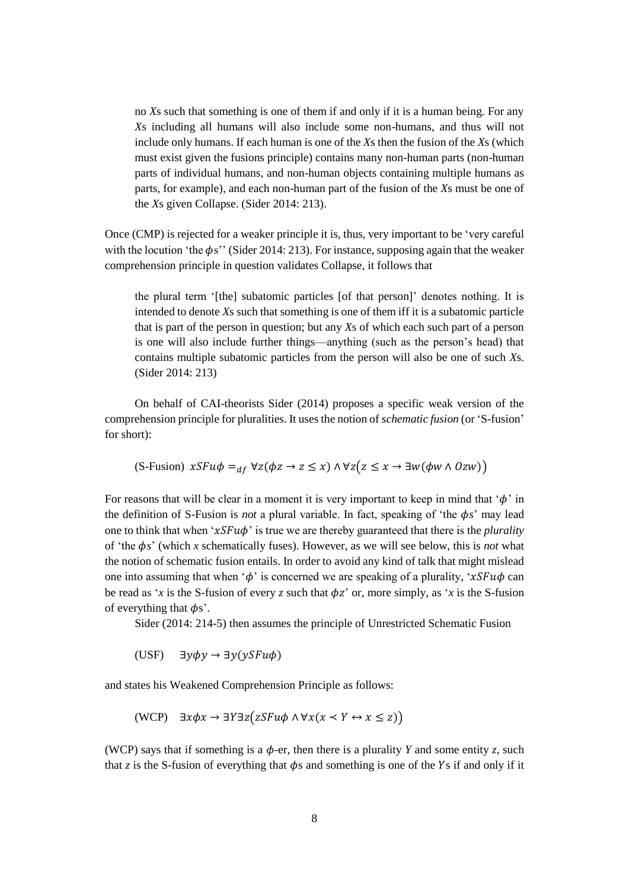no *X*s such that something is one of them if and only if it is a human being. For any *X*s including all humans will also include some non-humans, and thus will not include only humans. If each human is one of the *X*s then the fusion of the *X*s (which must exist given the fusions principle) contains many non-human parts (non-human parts of individual humans, and non-human objects containing multiple humans as parts, for example), and each non-human part of the fusion of the *X*s must be one of the *X*s given Collapse. (Sider 2014: 213).

Once (CMP) is rejected for a weaker principle it is, thus, very important to be 'very careful with the locution 'the  $\phi$ s'' (Sider 2014: 213). For instance, supposing again that the weaker comprehension principle in question validates Collapse, it follows that

the plural term '[the] subatomic particles [of that person]' denotes nothing. It is intended to denote *X*s such that something is one of them iff it is a subatomic particle that is part of the person in question; but any *X*s of which each such part of a person is one will also include further things—anything (such as the person's head) that contains multiple subatomic particles from the person will also be one of such *X*s. (Sider 2014: 213)

On behalf of CAI-theorists Sider (2014) proposes a specific weak version of the comprehension principle for pluralities. It uses the notion of *schematic fusion* (or 'S-fusion' for short):

$$
(S\text{-Fusion})\ xSFu\phi =_{df} \forall z(\phi z \to z \leq x) \land \forall z(z \leq x \to \exists w(\phi w \land 0zw))
$$

For reasons that will be clear in a moment it is very important to keep in mind that  $\phi'$  in the definition of S-Fusion is *not* a plural variable. In fact, speaking of 'the  $\phi s$ ' may lead one to think that when ' $x$ SFu $\phi$ ' is true we are thereby guaranteed that there is the *plurality* of 'the  $\phi s$ ' (which *x* schematically fuses). However, as we will see below, this is *not* what the notion of schematic fusion entails. In order to avoid any kind of talk that might mislead one into assuming that when ' $\phi$ ' is concerned we are speaking of a plurality, ' $xSFu\phi$  can be read as '*x* is the S-fusion of every *z* such that  $\phi z$ ' or, more simply, as '*x* is the S-fusion of everything that  $\phi$ s'.

Sider (2014: 214-5) then assumes the principle of Unrestricted Schematic Fusion

(USF)  $\exists y \phi y \rightarrow \exists y (y S F u \phi)$ 

and states his Weakened Comprehension Principle as follows:

(WCP) 
$$
\exists x \phi x \rightarrow \exists Y \exists z (z \land \forall x (x \leq Y \leftrightarrow x \leq z))
$$

(WCP) says that if something is a  $\phi$ -er, then there is a plurality *Y* and some entity *z*, such that *z* is the S-fusion of everything that  $\phi$ s and something is one of the Ys if and only if it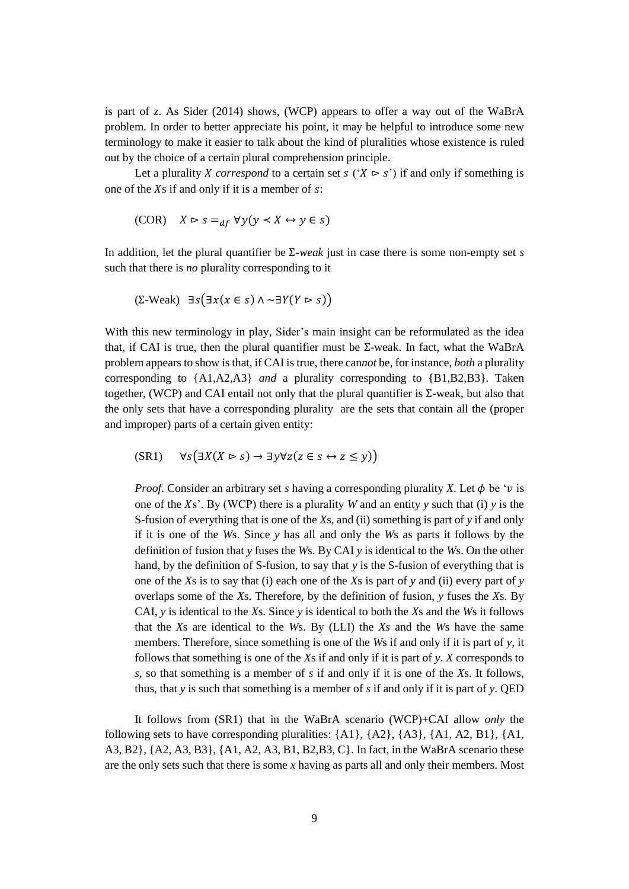is part of *z*. As Sider (2014) shows, (WCP) appears to offer a way out of the WaBrA problem. In order to better appreciate his point, it may be helpful to introduce some new terminology to make it easier to talk about the kind of pluralities whose existence is ruled out by the choice of a certain plural comprehension principle.

Let a plurality *X* correspond to a certain set  $s$  (' $X \rhd s$ ') if and only if something is one of the  $X_s$  if and only if it is a member of  $s$ :

(COR) 
$$
X \rightharpoonup s =_{df} \forall y (y \prec X \leftrightarrow y \in s)
$$

In addition, let the plural quantifier be Σ*-weak* just in case there is some non-empty set *s* such that there is *no* plurality corresponding to it

$$
(\Sigma\text{-Weak}) \exists s(\exists x(x \in s) \land \sim \exists Y(Y \rhd s))
$$

With this new terminology in play, Sider's main insight can be reformulated as the idea that, if CAI is true, then the plural quantifier must be Σ-weak. In fact, what the WaBrA problem appears to show is that, if CAI is true, there can*not* be, for instance, *both* a plurality corresponding to {A1,A2,A3} *and* a plurality corresponding to {B1,B2,B3}. Taken together, (WCP) and CAI entail not only that the plural quantifier is  $Σ$ -weak, but also that the only sets that have a corresponding plurality are the sets that contain all the (proper and improper) parts of a certain given entity:

$$
(SR1) \quad \forall s \big(\exists X (X \triangleright s) \rightarrow \exists y \forall z (z \in s \leftrightarrow z \le y)\big)
$$

*Proof.* Consider an arbitrary set *s* having a corresponding plurality *X*. Let  $\phi$  be '*v* is one of the Xs'. By (WCP) there is a plurality *W* and an entity *y* such that (i) *y* is the S-fusion of everything that is one of the *X*s, and (ii) something is part of *y* if and only if it is one of the *W*s. Since *y* has all and only the *W*s as parts it follows by the definition of fusion that *y* fuses the *W*s. By CAI *y* is identical to the *W*s. On the other hand, by the definition of S-fusion, to say that *y* is the S-fusion of everything that is one of the *X*s is to say that (i) each one of the *X*s is part of *y* and (ii) every part of *y* overlaps some of the *X*s. Therefore, by the definition of fusion, *y* fuses the *X*s. By CAI, *y* is identical to the *X*s. Since *y* is identical to both the *X*s and the *W*s it follows that the *X*s are identical to the *W*s. By (LLI) the *Xs* and the *W*s have the same members. Therefore, since something is one of the *W*s if and only if it is part of *y*, it follows that something is one of the *X*s if and only if it is part of *y*. *X* corresponds to *s*, so that something is a member of *s* if and only if it is one of the *X*s. It follows, thus, that *y* is such that something is a member of *s* if and only if it is part of *y*. QED

It follows from (SR1) that in the WaBrA scenario (WCP)+CAI allow *only* the following sets to have corresponding pluralities:  $\{A1\}$ ,  $\{A2\}$ ,  $\{A3\}$ ,  $\{A1$ ,  $A2$ ,  $B1\}$ ,  $\{A1$ , A3, B2}, {A2, A3, B3}, {A1, A2, A3, B1, B2,B3, C}. In fact, in the WaBrA scenario these are the only sets such that there is some *x* having as parts all and only their members. Most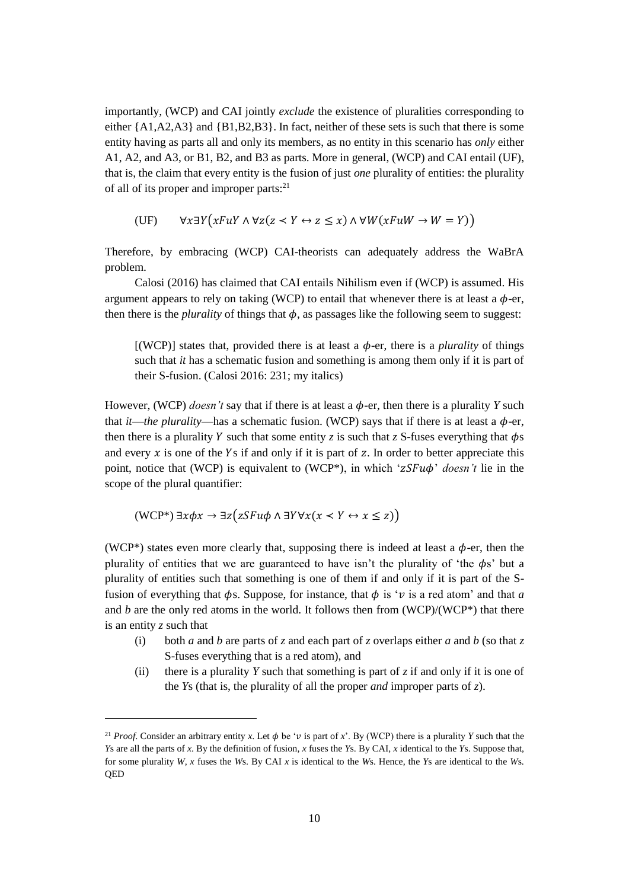importantly, (WCP) and CAI jointly *exclude* the existence of pluralities corresponding to either {A1,A2,A3} and {B1,B2,B3}. In fact, neither of these sets is such that there is some entity having as parts all and only its members, as no entity in this scenario has *only* either A1, A2, and A3, or B1, B2, and B3 as parts. More in general, (WCP) and CAI entail (UF), that is, the claim that every entity is the fusion of just *one* plurality of entities: the plurality of all of its proper and improper parts:<sup>21</sup>

(UF)  $\forall x \exists Y (x F u Y \land \forall z (z \prec Y \leftrightarrow z \leq x) \land \forall W (x F u W \rightarrow W = Y))$ 

Therefore, by embracing (WCP) CAI-theorists can adequately address the WaBrA problem.

Calosi (2016) has claimed that CAI entails Nihilism even if (WCP) is assumed. His argument appears to rely on taking (WCP) to entail that whenever there is at least a  $\phi$ -er, then there is the *plurality* of things that  $\phi$ , as passages like the following seem to suggest:

[(WCP)] states that, provided there is at least a  $\phi$ -er, there is a *plurality* of things such that *it* has a schematic fusion and something is among them only if it is part of their S-fusion. (Calosi 2016: 231; my italics)

However, (WCP) *doesn't* say that if there is at least a  $\phi$ -er, then there is a plurality *Y* such that *it—the plurality*—has a schematic fusion. (WCP) says that if there is at least a  $\phi$ -er, then there is a plurality Y such that some entity *z* is such that *z* S-fuses everything that  $\phi$ s and every  $x$  is one of the Ys if and only if it is part of z. In order to better appreciate this point, notice that (WCP) is equivalent to (WCP<sup>\*</sup>), in which ' $z$ *SFu* $\phi$ *' doesn't* lie in the scope of the plural quantifier:

 $(WCP^*) \exists x \phi x \rightarrow \exists z (zSFu\phi \land \exists Y \forall x (x \leq Y \leftrightarrow x \leq z))$ 

l

(WCP<sup>\*</sup>) states even more clearly that, supposing there is indeed at least a  $\phi$ -er, then the plurality of entities that we are guaranteed to have isn't the plurality of 'the  $\phi$ s' but a plurality of entities such that something is one of them if and only if it is part of the Sfusion of everything that  $\phi$ s. Suppose, for instance, that  $\phi$  is ' $\nu$  is a red atom' and that *a* and *b* are the only red atoms in the world. It follows then from  $(WCP)/(WCP^*)$  that there is an entity *z* such that

- (i) both *a* and *b* are parts of *z* and each part of *z* overlaps either *a* and *b* (so that *z* S-fuses everything that is a red atom), and
- (ii) there is a plurality *Y* such that something is part of *z* if and only if it is one of the *Y*s (that is, the plurality of all the proper *and* improper parts of *z*).

<sup>&</sup>lt;sup>21</sup> *Proof.* Consider an arbitrary entity *x*. Let  $\phi$  be '*v* is part of *x*'. By (WCP) there is a plurality *Y* such that the *Y*s are all the parts of *x*. By the definition of fusion, *x* fuses the *Y*s. By CAI, *x* identical to the *Y*s. Suppose that, for some plurality *W*, *x* fuses the *W*s. By CAI *x* is identical to the *W*s. Hence, the *Y*s are identical to the *W*s. **OED**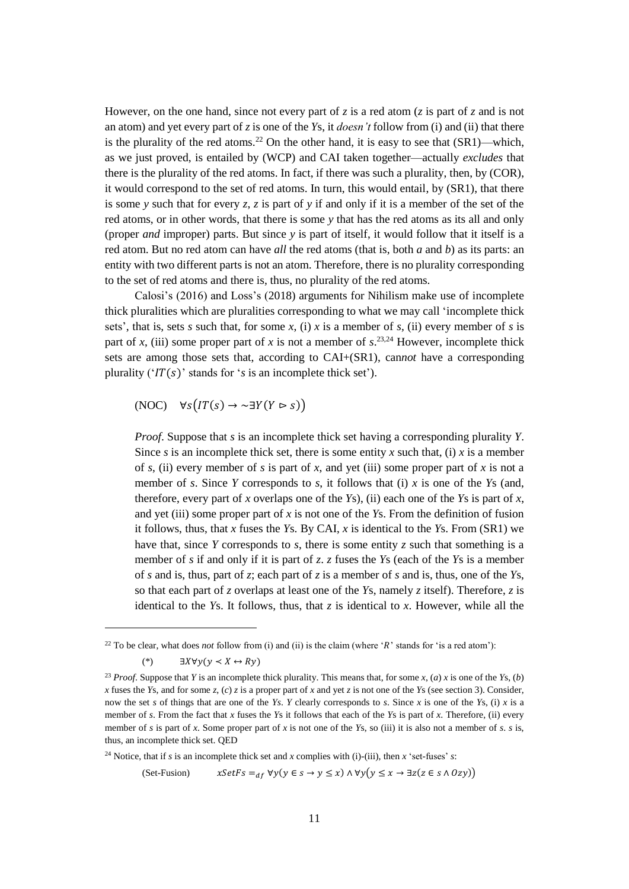However, on the one hand, since not every part of *z* is a red atom (*z* is part of *z* and is not an atom) and yet every part of *z* is one of the *Y*s, it *doesn't* follow from (i) and (ii) that there is the plurality of the red atoms.<sup>22</sup> On the other hand, it is easy to see that  $(SR1)$ —which, as we just proved, is entailed by (WCP) and CAI taken together—actually *excludes* that there is the plurality of the red atoms. In fact, if there was such a plurality, then, by (COR), it would correspond to the set of red atoms. In turn, this would entail, by (SR1), that there is some *y* such that for every *z*, *z* is part of *y* if and only if it is a member of the set of the red atoms, or in other words, that there is some *y* that has the red atoms as its all and only (proper *and* improper) parts. But since *y* is part of itself, it would follow that it itself is a red atom. But no red atom can have *all* the red atoms (that is, both *a* and *b*) as its parts: an entity with two different parts is not an atom. Therefore, there is no plurality corresponding to the set of red atoms and there is, thus, no plurality of the red atoms.

Calosi's (2016) and Loss's (2018) arguments for Nihilism make use of incomplete thick pluralities which are pluralities corresponding to what we may call 'incomplete thick sets', that is, sets *s* such that, for some *x*, (i) *x* is a member of *s*, (ii) every member of *s* is part of *x*, (iii) some proper part of *x* is not a member of  $s$ .<sup>23,24</sup> However, incomplete thick sets are among those sets that, according to CAI+(SR1), can*not* have a corresponding plurality ( $'(\text{IT}(s))'$  stands for '*s* is an incomplete thick set').

(NOC)  $\forall s(IT(s) \rightarrow \sim \exists Y(Y \rhd s))$ 

*Proof*. Suppose that *s* is an incomplete thick set having a corresponding plurality *Y*. Since *s* is an incomplete thick set, there is some entity *x* such that, (i) *x* is a member of  $s$ , (ii) every member of  $s$  is part of  $x$ , and yet (iii) some proper part of  $x$  is not a member of *s*. Since *Y* corresponds to *s*, it follows that (i) *x* is one of the *Y*s (and, therefore, every part of *x* overlaps one of the *Y*s), (ii) each one of the *Y*s is part of *x*, and yet (iii) some proper part of *x* is not one of the *Y*s. From the definition of fusion it follows, thus, that *x* fuses the *Y*s. By CAI, *x* is identical to the *Y*s. From (SR1) we have that, since *Y* corresponds to *s*, there is some entity *z* such that something is a member of *s* if and only if it is part of *z*. *z* fuses the *Y*s (each of the *Y*s is a member of *s* and is, thus, part of *z*; each part of *z* is a member of *s* and is, thus, one of the *Y*s, so that each part of *z* overlaps at least one of the *Y*s, namely *z* itself). Therefore, *z* is identical to the *Y*s. It follows, thus, that *z* is identical to *x*. However, while all the

$$
(*) \qquad \exists X \forall y (y \prec X \leftrightarrow Ry)
$$

l

<sup>24</sup> Notice, that if *s* is an incomplete thick set and *x* complies with (i)-(iii), then *x* 'set-fuses' *s*:

(Set-Fusion)  $xSetFs =_{df} \forall y(y \in s \rightarrow y \leq x) \land \forall y(y \leq x \rightarrow \exists z(z \in s \land Ozy))$ 

<sup>&</sup>lt;sup>22</sup> To be clear, what does *not* follow from (i) and (ii) is the claim (where 'R' stands for 'is a red atom'):

<sup>&</sup>lt;sup>23</sup> *Proof.* Suppose that *Y* is an incomplete thick plurality. This means that, for some *x*, (*a*) *x* is one of the *Y*s, (*b*) *x* fuses the *Y*s, and for some *z*, (*c*) *z* is a proper part of *x* and yet *z* is not one of the *Y*s (see section 3). Consider, now the set *s* of things that are one of the *Ys*. *Y* clearly corresponds to *s*. Since *x* is one of the *Y*s, (i) *x* is a member of *s*. From the fact that *x* fuses the *Y*s it follows that each of the *Y*s is part of *x*. Therefore, (ii) every member of *s* is part of *x*. Some proper part of *x* is not one of the *Y*s, so (iii) it is also not a member of *s*. *s* is, thus, an incomplete thick set. QED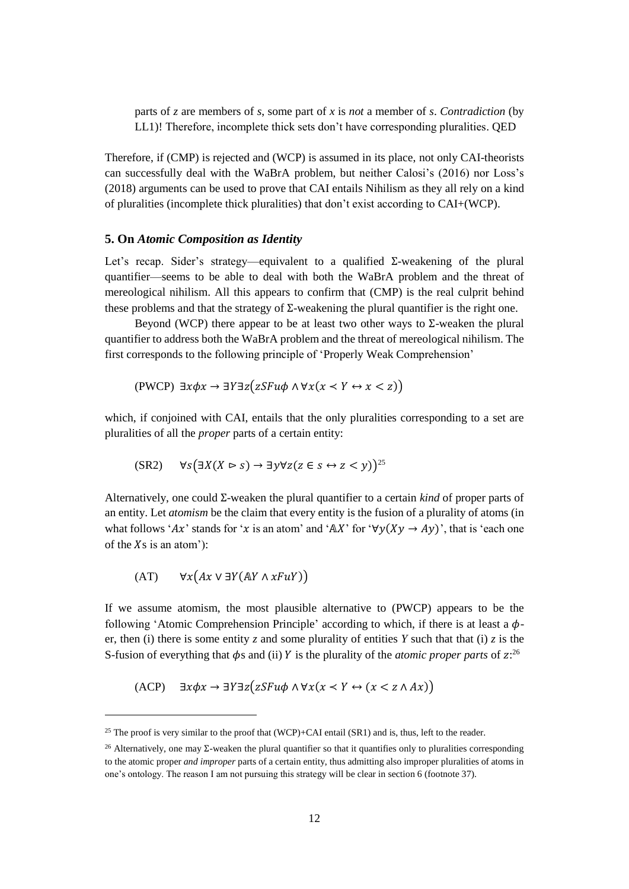parts of *z* are members of *s*, some part of *x* is *not* a member of *s*. *Contradiction* (by LL1)! Therefore, incomplete thick sets don't have corresponding pluralities. QED

Therefore, if (CMP) is rejected and (WCP) is assumed in its place, not only CAI-theorists can successfully deal with the WaBrA problem, but neither Calosi's (2016) nor Loss's (2018) arguments can be used to prove that CAI entails Nihilism as they all rely on a kind of pluralities (incomplete thick pluralities) that don't exist according to CAI+(WCP).

# **5. On** *Atomic Composition as Identity*

Let's recap. Sider's strategy—equivalent to a qualified Σ-weakening of the plural quantifier—seems to be able to deal with both the WaBrA problem and the threat of mereological nihilism. All this appears to confirm that (CMP) is the real culprit behind these problems and that the strategy of Σ-weakening the plural quantifier is the right one.

Beyond (WCP) there appear to be at least two other ways to  $\Sigma$ -weaken the plural quantifier to address both the WaBrA problem and the threat of mereological nihilism. The first corresponds to the following principle of 'Properly Weak Comprehension'

$$
(\text{PWCP}) \exists x \phi x \to \exists Y \exists z (z \text{Stru} \phi \land \forall x (x \prec Y \leftrightarrow x \prec z))
$$

which, if conjoined with CAI, entails that the only pluralities corresponding to a set are pluralities of all the *proper* parts of a certain entity:

$$
(SR2) \quad \forall s (\exists X (X \triangleright s) \rightarrow \exists y \forall z (z \in s \leftrightarrow z < y))^{25}
$$

Alternatively, one could Σ-weaken the plural quantifier to a certain *kind* of proper parts of an entity. Let *atomism* be the claim that every entity is the fusion of a plurality of atoms (in what follows ' $Ax$ ' stands for 'x is an atom' and ' $AX$ ' for ' $\forall y(Xy \rightarrow Ay)$ ', that is 'each one of the  $X_s$  is an atom'):

$$
(AT) \qquad \forall x (Ax \lor \exists Y (AY \land xFuY))
$$

l

If we assume atomism, the most plausible alternative to (PWCP) appears to be the following 'Atomic Comprehension Principle' according to which, if there is at least a  $\phi$ er, then (i) there is some entity *z* and some plurality of entities *Y* such that that (i) *z* is the S-fusion of everything that  $\phi$ s and (ii) Y is the plurality of the *atomic proper parts* of  $z$ :<sup>26</sup>

 $(ACP)$   $\exists x \phi x \rightarrow \exists Y \exists z (z \land \psi \land \forall x (x \leq Y \leftrightarrow (x \leq z \land Ax))$ 

<sup>&</sup>lt;sup>25</sup> The proof is very similar to the proof that (WCP)+CAI entail (SR1) and is, thus, left to the reader.

<sup>&</sup>lt;sup>26</sup> Alternatively, one may Σ-weaken the plural quantifier so that it quantifies only to pluralities corresponding to the atomic proper *and improper* parts of a certain entity, thus admitting also improper pluralities of atoms in one's ontology. The reason I am not pursuing this strategy will be clear in section 6 (footnote 37).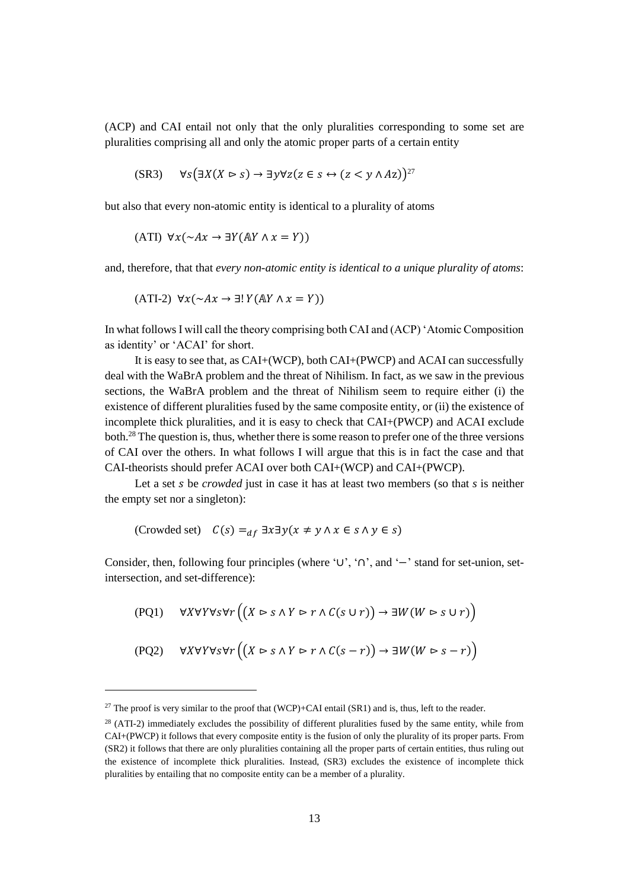(ACP) and CAI entail not only that the only pluralities corresponding to some set are pluralities comprising all and only the atomic proper parts of a certain entity

$$
(SR3) \quad \forall s \big(\exists X (X \triangleright s) \rightarrow \exists y \forall z (z \in s \leftrightarrow (z < y \land Az))^{27}
$$

but also that every non-atomic entity is identical to a plurality of atoms

$$
(ATI) \ \forall x (\sim Ax \rightarrow \exists Y (\mathbb{A}Y \land x = Y))
$$

and, therefore, that that *every non-atomic entity is identical to a unique plurality of atoms*:

$$
(ATI-2) \ \forall x (\neg Ax \rightarrow \exists! Y (AY \land x = Y))
$$

In what follows I will call the theory comprising both CAI and (ACP) 'Atomic Composition as identity' or 'ACAI' for short.

It is easy to see that, as CAI+(WCP), both CAI+(PWCP) and ACAI can successfully deal with the WaBrA problem and the threat of Nihilism. In fact, as we saw in the previous sections, the WaBrA problem and the threat of Nihilism seem to require either (i) the existence of different pluralities fused by the same composite entity, or (ii) the existence of incomplete thick pluralities, and it is easy to check that CAI+(PWCP) and ACAI exclude both.<sup>28</sup> The question is, thus, whether there is some reason to prefer one of the three versions of CAI over the others. In what follows I will argue that this is in fact the case and that CAI-theorists should prefer ACAI over both CAI+(WCP) and CAI+(PWCP).

Let a set *s* be *crowded* just in case it has at least two members (so that *s* is neither the empty set nor a singleton):

(Crowded set) 
$$
C(s) =_{df} \exists x \exists y (x \neq y \land x \in s \land y \in s)
$$

Consider, then, following four principles (where '∪', '∩', and ' $-$ ' stand for set-union, setintersection, and set-difference):

$$
\begin{aligned} \text{(PQ1)} \quad & \forall X \forall Y \forall s \forall r \left( \left( X \vartriangleright s \land Y \vartriangleright r \land C(s \cup r) \right) \to \exists W (W \vartriangleright s \cup r) \right) \\ \text{(PQ2)} \quad & \forall X \forall Y \forall s \forall r \left( \left( X \vartriangleright s \land Y \vartriangleright r \land C(s - r) \right) \to \exists W (W \vartriangleright s - r) \right) \end{aligned}
$$

<sup>&</sup>lt;sup>27</sup> The proof is very similar to the proof that (WCP)+CAI entail (SR1) and is, thus, left to the reader.

 $28$  (ATI-2) immediately excludes the possibility of different pluralities fused by the same entity, while from CAI+(PWCP) it follows that every composite entity is the fusion of only the plurality of its proper parts. From (SR2) it follows that there are only pluralities containing all the proper parts of certain entities, thus ruling out the existence of incomplete thick pluralities. Instead, (SR3) excludes the existence of incomplete thick pluralities by entailing that no composite entity can be a member of a plurality.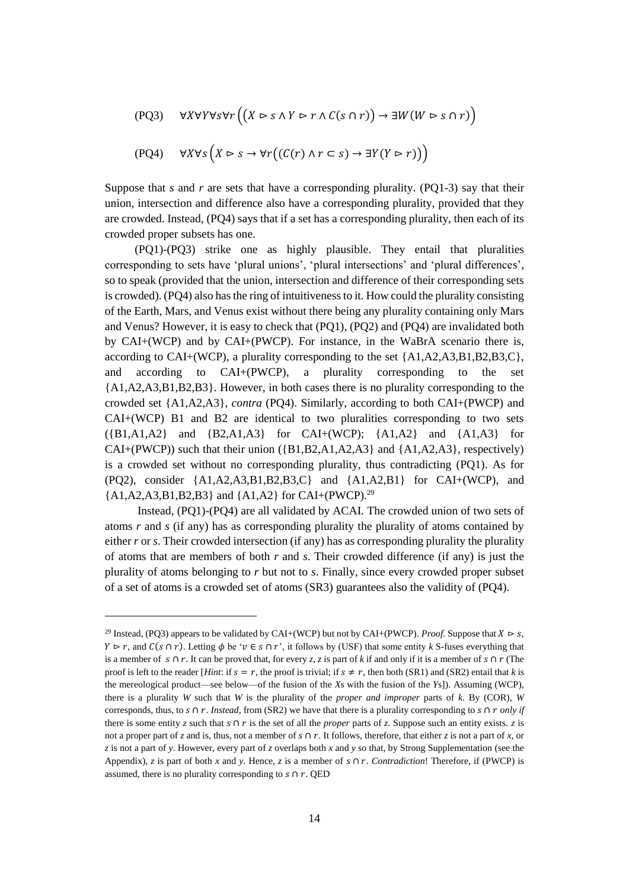$$
(PQ3) \quad \forall X \forall Y \forall s \forall r \left( \left( X \vartriangleright s \land Y \vartriangleright r \land C(s \cap r) \right) \to \exists W (W \vartriangleright s \cap r) \right)
$$

$$
(\text{PQ4}) \quad \forall X \forall s \left( X \rhd s \rightarrow \forall r \big( (C(r) \land r \subset s) \rightarrow \exists Y (Y \rhd r) \big) \right)
$$

Suppose that *s* and *r* are sets that have a corresponding plurality. (PQ1-3) say that their union, intersection and difference also have a corresponding plurality, provided that they are crowded. Instead, (PQ4) says that if a set has a corresponding plurality, then each of its crowded proper subsets has one.

(PQ1)-(PQ3) strike one as highly plausible. They entail that pluralities corresponding to sets have 'plural unions', 'plural intersections' and 'plural differences', so to speak (provided that the union, intersection and difference of their corresponding sets is crowded). (PQ4) also has the ring of intuitiveness to it. How could the plurality consisting of the Earth, Mars, and Venus exist without there being any plurality containing only Mars and Venus? However, it is easy to check that (PQ1), (PQ2) and (PQ4) are invalidated both by CAI+(WCP) and by CAI+(PWCP). For instance, in the WaBrA scenario there is, according to CAI+(WCP), a plurality corresponding to the set  $\{A1, A2, A3, B1, B2, B3, C\}$ , and according to CAI+(PWCP), a plurality corresponding to the set {A1,A2,A3,B1,B2,B3}. However, in both cases there is no plurality corresponding to the crowded set {A1,A2,A3}, *contra* (PQ4). Similarly, according to both CAI+(PWCP) and CAI+(WCP) B1 and B2 are identical to two pluralities corresponding to two sets ({B1,A1,A2} and {B2,A1,A3} for CAI+(WCP); {A1,A2} and {A1,A3} for CAI+(PWCP)) such that their union  $({B1,B2,A1,A2,A3}$  and  ${A1,A2,A3}$ , respectively) is a crowded set without no corresponding plurality, thus contradicting (PQ1). As for  $(PO2)$ , consider  ${A1, A2, A3, B1, B2, B3, C}$  and  ${A1, A2, B1}$  for CAI+(WCP), and  ${A1, A2, A3, B1, B2, B3}$  and  ${A1, A2}$  for CAI+(PWCP).<sup>29</sup>

Instead, (PQ1)-(PQ4) are all validated by ACAI. The crowded union of two sets of atoms *r* and *s* (if any) has as corresponding plurality the plurality of atoms contained by either *r* or *s*. Their crowded intersection (if any) has as corresponding plurality the plurality of atoms that are members of both *r* and *s*. Their crowded difference (if any) is just the plurality of atoms belonging to *r* but not to *s*. Finally, since every crowded proper subset of a set of atoms is a crowded set of atoms (SR3) guarantees also the validity of (PQ4).

<sup>&</sup>lt;sup>29</sup> Instead, (PQ3) appears to be validated by CAI+(WCP) but not by CAI+(PWCP). *Proof.* Suppose that  $X \rightharpoonup s$ ,  $Y \triangleright r$ , and  $C(s \cap r)$ . Letting  $\phi$  be ' $v \in s \cap r$ ', it follows by (USF) that some entity *k* S-fuses everything that is a member of  $s \cap r$ . It can be proved that, for every *z*, *z* is part of *k* if and only if it is a member of  $s \cap r$  (The proof is left to the reader [*Hint*: if  $s = r$ , the proof is trivial; if  $s \neq r$ , then both (SR1) and (SR2) entail that *k* is the mereological product—see below—of the fusion of the *X*s with the fusion of the *Y*s]). Assuming (WCP), there is a plurality *W* such that *W* is the plurality of the *proper and improper* parts of *k*. By (COR), *W* corresponds, thus, to  $s \cap r$ . *Instead*, from (SR2) we have that there is a plurality corresponding to  $s \cap r$  only if there is some entity *z* such that  $s \cap r$  is the set of all the *proper* parts of *z*. Suppose such an entity exists. *z* is not a proper part of *z* and is, thus, not a member of  $S \cap r$ . It follows, therefore, that either *z* is not a part of *x*, or *z* is not a part of *y*. However, every part of *z* overlaps both *x* and *y* so that, by Strong Supplementation (see the Appendix), *z* is part of both *x* and *y*. Hence, *z* is a member of  $s \cap r$ . *Contradiction*! Therefore, if (PWCP) is assumed, there is no plurality corresponding to  $s \cap r$ . QED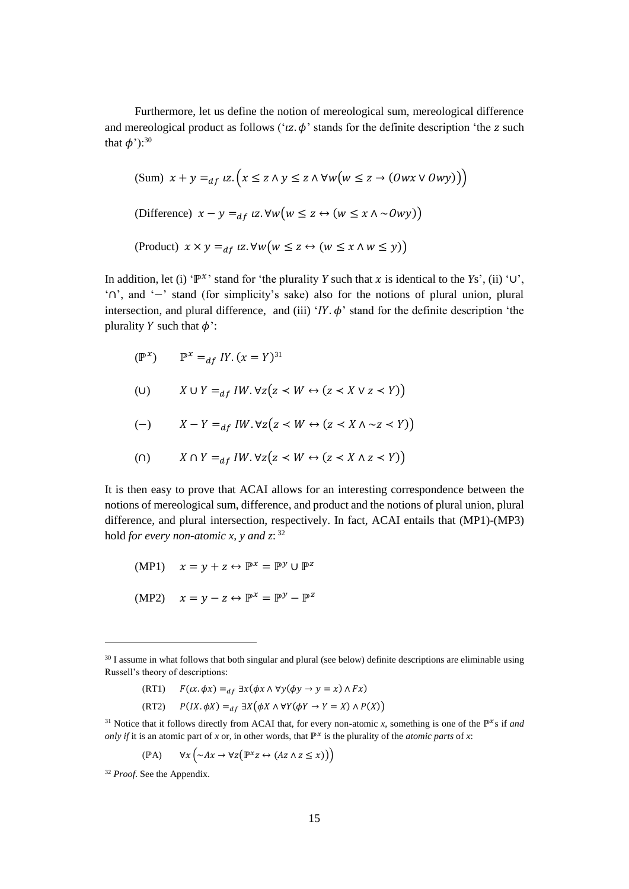Furthermore, let us define the notion of mereological sum, mereological difference and mereological product as follows (' $\iota z.\phi$ ' stands for the definite description 'the z such that  $\phi$ '):<sup>30</sup>

(Sum) 
$$
x + y =_{df} tz. (x \le z \land y \le z \land \forall w (w \le z \rightarrow (0wx \lor 0wy)))
$$
  
\n(Difference)  $x - y =_{df} tz. \forall w (w \le z \leftrightarrow (w \le x \land \sim 0wy))$   
\n(Product)  $x \times y =_{df} tz. \forall w (w \le z \leftrightarrow (w \le x \land w \le y))$ 

In addition, let (i) ' $\mathbb{P}^{x}$ ' stand for 'the plurality *Y* such that *x* is identical to the *Y*s', (ii) '∪', '∩', and '−' stand (for simplicity's sake) also for the notions of plural union, plural intersection, and plural difference, and (iii) ' $IY \cdot \phi$ ' stand for the definite description 'the plurality Y such that  $\phi$ :

- $(\mathbb{P}^x) \qquad \mathbb{P}^x =_{df} IV. (x = Y)^{31}$
- (∪)  $X \cup Y =_{df} I W \cdot \forall z (z \prec W \leftrightarrow (z \prec X \vee z \prec Y))$

$$
(-) \qquad X - Y =_{df} IW. \forall z \big( z \prec W \leftrightarrow (z \prec X \land \sim z \prec Y) \big)
$$

$$
(0) \qquad X \cap Y =_{df} IV. \forall z \big( z \prec W \leftrightarrow (z \prec X \land z \prec Y) \big)
$$

It is then easy to prove that ACAI allows for an interesting correspondence between the notions of mereological sum, difference, and product and the notions of plural union, plural difference, and plural intersection, respectively. In fact, ACAI entails that (MP1)-(MP3) hold *for every non-atomic x, y and z*: 32

(MP1) 
$$
x = y + z \leftrightarrow \mathbb{P}^x = \mathbb{P}^y \cup \mathbb{P}^z
$$
  
(MP2)  $x = y - z \leftrightarrow \mathbb{P}^x = \mathbb{P}^y - \mathbb{P}^z$ 

(RT1) 
$$
F(\iota x.\phi x) =_{df} \exists x(\phi x \land \forall y(\phi y \to y = x) \land Fx)
$$

(RT2) 
$$
P(IX. \phi X) =_{df} \exists X (\phi X \land \forall Y (\phi Y \to Y = X) \land P(X))
$$

<sup>31</sup> Notice that it follows directly from ACAI that, for every non-atomic x, something is one of the  $\mathbb{P}^{x}$ s if *and only if* it is an atomic part of *x* or, in other words, that  $\mathbb{P}^x$  is the plurality of the *atomic parts* of *x*:

$$
(\mathbb{P}\mathbf{A}) \qquad \forall x \left( \neg Ax \to \forall z \left( \mathbb{P}^x z \leftrightarrow (Az \land z \leq x) \right) \right)
$$

<sup>32</sup> *Proof*. See the Appendix.

 $\overline{a}$ 

 $30$  I assume in what follows that both singular and plural (see below) definite descriptions are eliminable using Russell's theory of descriptions: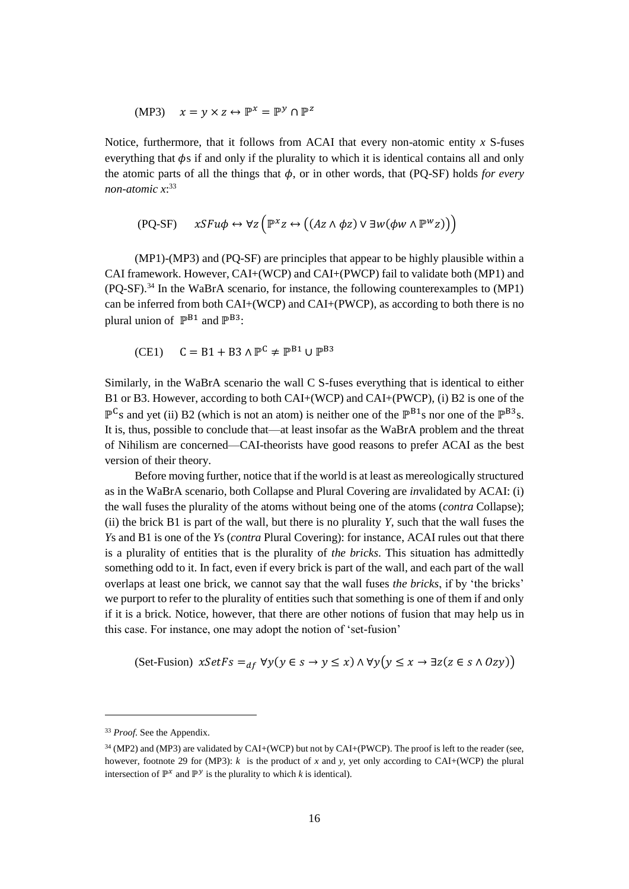# (MP3)  $x = y \times z \leftrightarrow \mathbb{P}^x = \mathbb{P}^y \cap \mathbb{P}^z$

Notice, furthermore, that it follows from ACAI that every non-atomic entity *x* S-fuses everything that  $\phi$ s if and only if the plurality to which it is identical contains all and only the atomic parts of all the things that  $\phi$ , or in other words, that (PQ-SF) holds *for every non-atomic x*: 33

$$
(\text{PQ-SF}) \qquad xSFu\phi \leftrightarrow \forall z \left( \mathbb{P}^x z \leftrightarrow ((Az \land \phi z) \lor \exists w (\phi w \land \mathbb{P}^w z)) \right)
$$

(MP1)-(MP3) and (PQ-SF) are principles that appear to be highly plausible within a CAI framework. However, CAI+(WCP) and CAI+(PWCP) fail to validate both (MP1) and (PQ-SF). <sup>34</sup> In the WaBrA scenario, for instance, the following counterexamples to (MP1) can be inferred from both CAI+(WCP) and CAI+(PWCP), as according to both there is no plural union of  $\mathbb{P}^{B1}$  and  $\mathbb{P}^{B3}$ :

$$
(CE1) \quad C = B1 + B3 \land \mathbb{P}^C \neq \mathbb{P}^{B1} \cup \mathbb{P}^{B3}
$$

Similarly, in the WaBrA scenario the wall C S-fuses everything that is identical to either B1 or B3. However, according to both CAI+(WCP) and CAI+(PWCP), (i) B2 is one of the  $\mathbb{P}^{\mathbb{C}}$ s and yet (ii) B2 (which is not an atom) is neither one of the  $\mathbb{P}^{\mathbb{B}1}$ s nor one of the  $\mathbb{P}^{\mathbb{B}3}$ s. It is, thus, possible to conclude that—at least insofar as the WaBrA problem and the threat of Nihilism are concerned—CAI-theorists have good reasons to prefer ACAI as the best version of their theory.

Before moving further, notice that if the world is at least as mereologically structured as in the WaBrA scenario, both Collapse and Plural Covering are *in*validated by ACAI: (i) the wall fuses the plurality of the atoms without being one of the atoms (*contra* Collapse); (ii) the brick B1 is part of the wall, but there is no plurality *Y*, such that the wall fuses the *Y*s and B1 is one of the *Y*s (*contra* Plural Covering): for instance, ACAI rules out that there is a plurality of entities that is the plurality of *the bricks*. This situation has admittedly something odd to it. In fact, even if every brick is part of the wall, and each part of the wall overlaps at least one brick, we cannot say that the wall fuses *the bricks*, if by 'the bricks' we purport to refer to the plurality of entities such that something is one of them if and only if it is a brick. Notice, however, that there are other notions of fusion that may help us in this case. For instance, one may adopt the notion of 'set-fusion'

$$
(\text{Set-Fusion}) \ x\ \text{SetFs} =_{df} \forall y (y \in s \rightarrow y \leq x) \land \forall y (y \leq x \rightarrow \exists z (z \in s \land \text{Ozy}))
$$

<sup>33</sup> *Proof*. See the Appendix.

<sup>34</sup> (MP2) and (MP3) are validated by CAI+(WCP) but not by CAI+(PWCP). The proof is left to the reader (see, however, footnote 29 for (MP3): *k* is the product of *x* and *y*, yet only according to CAI+(WCP) the plural intersection of  $\mathbb{P}^{x}$  and  $\mathbb{P}^{y}$  is the plurality to which *k* is identical).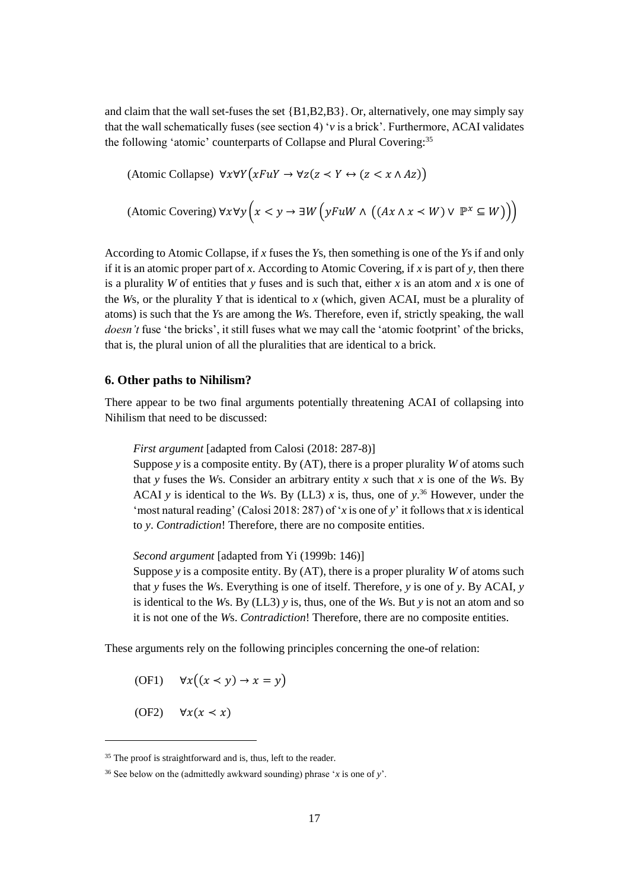and claim that the wall set-fuses the set {B1,B2,B3}. Or, alternatively, one may simply say that the wall schematically fuses (see section 4)  $\gamma$  is a brick'. Furthermore, ACAI validates the following 'atomic' counterparts of Collapse and Plural Covering:<sup>35</sup>

(Atomic College) 
$$
\forall x \forall Y (xFuY \rightarrow \forall z (z \prec Y \leftrightarrow (z \prec x \land Az))
$$
  
(Atomic Covering)  $\forall x \forall y (x \prec y \rightarrow \exists W (yFuW \land ((Ax \land x \prec W) \lor \mathbb{P}^x \subseteq W)))$ 

According to Atomic Collapse, if *x* fuses the *Y*s, then something is one of the *Y*s if and only if it is an atomic proper part of *x*. According to Atomic Covering, if *x* is part of *y*, then there is a plurality *W* of entities that *y* fuses and is such that, either *x* is an atom and *x* is one of the *W*s, or the plurality *Y* that is identical to *x* (which, given ACAI, must be a plurality of atoms) is such that the *Y*s are among the *W*s. Therefore, even if, strictly speaking, the wall *doesn't* fuse 'the bricks', it still fuses what we may call the 'atomic footprint' of the bricks, that is, the plural union of all the pluralities that are identical to a brick.

# **6. Other paths to Nihilism?**

There appear to be two final arguments potentially threatening ACAI of collapsing into Nihilism that need to be discussed:

*First argument* [adapted from Calosi (2018: 287-8)]

Suppose *y* is a composite entity. By (AT), there is a proper plurality *W* of atoms such that *y* fuses the *Ws*. Consider an arbitrary entity *x* such that *x* is one of the *Ws*. By ACAI *y* is identical to the *Ws*. By (LL3) *x* is, thus, one of  $y$ <sup>36</sup> However, under the 'most natural reading' (Calosi 2018: 287) of '*x* is one of *y*' it follows that *x* is identical to *y*. *Contradiction*! Therefore, there are no composite entities.

*Second argument* [adapted from Yi (1999b: 146)]

Suppose *y* is a composite entity. By (AT), there is a proper plurality *W* of atoms such that *y* fuses the *W*s. Everything is one of itself. Therefore, *y* is one of *y*. By ACAI, *y*  is identical to the *W*s. By (LL3) *y* is, thus, one of the *W*s. But *y* is not an atom and so it is not one of the *W*s. *Contradiction*! Therefore, there are no composite entities.

These arguments rely on the following principles concerning the one-of relation:

- (OF1)  $\forall x((x \prec y) \rightarrow x = y)$
- (OF2)  $\forall x(x \leq x)$

<sup>&</sup>lt;sup>35</sup> The proof is straightforward and is, thus, left to the reader.

<sup>&</sup>lt;sup>36</sup> See below on the (admittedly awkward sounding) phrase '*x* is one of *y*'.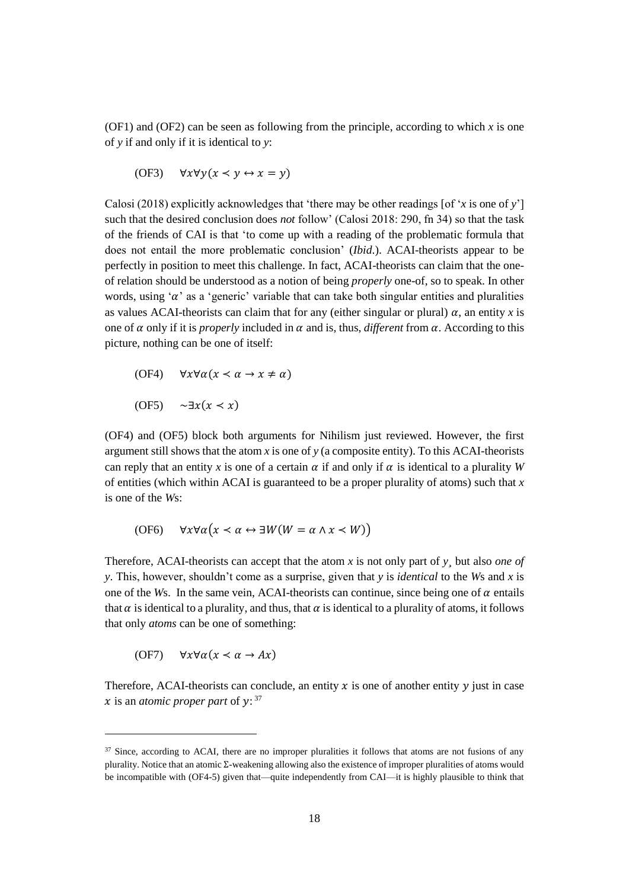(OF1) and (OF2) can be seen as following from the principle, according to which *x* is one of *y* if and only if it is identical to *y*:

(OF3) 
$$
\forall x \forall y (x \prec y \leftrightarrow x = y)
$$

Calosi (2018) explicitly acknowledges that 'there may be other readings [of '*x* is one of *y*'] such that the desired conclusion does *not* follow' (Calosi 2018: 290, fn 34) so that the task of the friends of CAI is that 'to come up with a reading of the problematic formula that does not entail the more problematic conclusion' (*Ibid*.). ACAI-theorists appear to be perfectly in position to meet this challenge. In fact, ACAI-theorists can claim that the oneof relation should be understood as a notion of being *properly* one-of, so to speak. In other words, using ' $\alpha$ ' as a 'generic' variable that can take both singular entities and pluralities as values ACAI-theorists can claim that for any (either singular or plural)  $\alpha$ , an entity *x* is one of  $\alpha$  only if it is *properly* included in  $\alpha$  and is, thus, *different* from  $\alpha$ . According to this picture, nothing can be one of itself:

(OF4)  $\forall x \forall \alpha (x \prec \alpha \rightarrow x \neq \alpha)$ (OF5)  $\sim \exists x(x \leq x)$ 

(OF4) and (OF5) block both arguments for Nihilism just reviewed. However, the first argument still shows that the atom  $x$  is one of  $y$  (a composite entity). To this ACAI-theorists can reply that an entity *x* is one of a certain  $\alpha$  if and only if  $\alpha$  is identical to a plurality *W* of entities (which within ACAI is guaranteed to be a proper plurality of atoms) such that *x* is one of the *W*s:

$$
(\text{OF6}) \quad \forall x \forall \alpha \big( x < \alpha \leftrightarrow \exists W (W = \alpha \land x < W) \big)
$$

Therefore, ACAI-theorists can accept that the atom *x* is not only part of *y¸* but also *one of y*. This, however, shouldn't come as a surprise, given that *y* is *identical* to the *W*s and *x* is one of the *Ws*. In the same vein, ACAI-theorists can continue, since being one of  $\alpha$  entails that  $\alpha$  is identical to a plurality, and thus, that  $\alpha$  is identical to a plurality of atoms, it follows that only *atoms* can be one of something:

$$
(\text{OF7}) \quad \forall x \forall \alpha (x \prec \alpha \rightarrow Ax)
$$

 $\overline{\phantom{a}}$ 

Therefore, ACAI-theorists can conclude, an entity  $x$  is one of another entity  $y$  just in case  $x$  is an *atomic proper part* of  $y:$  <sup>37</sup>

<sup>&</sup>lt;sup>37</sup> Since, according to ACAI, there are no improper pluralities it follows that atoms are not fusions of any plurality. Notice that an atomic Σ-weakening allowing also the existence of improper pluralities of atoms would be incompatible with (OF4-5) given that—quite independently from CAI—it is highly plausible to think that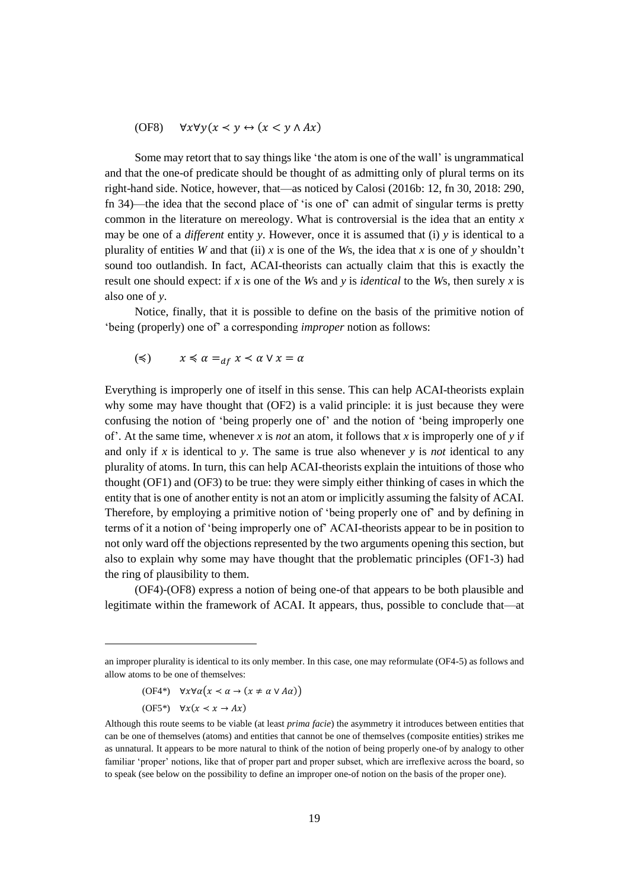(OF8)  $\forall x \forall y (x \prec y \leftrightarrow (x \leq y \land Ax))$ 

Some may retort that to say things like 'the atom is one of the wall' is ungrammatical and that the one-of predicate should be thought of as admitting only of plural terms on its right-hand side. Notice, however, that—as noticed by Calosi (2016b: 12, fn 30, 2018: 290, fn 34)—the idea that the second place of 'is one of' can admit of singular terms is pretty common in the literature on mereology. What is controversial is the idea that an entity *x*  may be one of a *different* entity *y*. However, once it is assumed that (i) *y* is identical to a plurality of entities *W* and that (ii) *x* is one of the *W*s, the idea that *x* is one of *y* shouldn't sound too outlandish. In fact, ACAI-theorists can actually claim that this is exactly the result one should expect: if *x* is one of the *W*s and *y* is *identical* to the *W*s, then surely *x* is also one of *y*.

Notice, finally, that it is possible to define on the basis of the primitive notion of 'being (properly) one of' a corresponding *improper* notion as follows:

$$
(\preccurlyeq) \qquad x \preccurlyeq \alpha =_{df} x < \alpha \lor x = \alpha
$$

Everything is improperly one of itself in this sense. This can help ACAI-theorists explain why some may have thought that (OF2) is a valid principle: it is just because they were confusing the notion of 'being properly one of' and the notion of 'being improperly one of'. At the same time, whenever *x* is *not* an atom, it follows that *x* is improperly one of *y* if and only if *x* is identical to *y*. The same is true also whenever *y* is *not* identical to any plurality of atoms. In turn, this can help ACAI-theorists explain the intuitions of those who thought (OF1) and (OF3) to be true: they were simply either thinking of cases in which the entity that is one of another entity is not an atom or implicitly assuming the falsity of ACAI. Therefore, by employing a primitive notion of 'being properly one of' and by defining in terms of it a notion of 'being improperly one of' ACAI-theorists appear to be in position to not only ward off the objections represented by the two arguments opening this section, but also to explain why some may have thought that the problematic principles (OF1-3) had the ring of plausibility to them.

(OF4)-(OF8) express a notion of being one-of that appears to be both plausible and legitimate within the framework of ACAI. It appears, thus, possible to conclude that—at

(OF4\*) 
$$
\forall x \forall \alpha (x \prec \alpha \rightarrow (x \neq \alpha \lor A\alpha))
$$
  
(OF5\*)  $\forall x (x \prec x \rightarrow Ax)$ 

an improper plurality is identical to its only member. In this case, one may reformulate (OF4-5) as follows and allow atoms to be one of themselves:

Although this route seems to be viable (at least *prima facie*) the asymmetry it introduces between entities that can be one of themselves (atoms) and entities that cannot be one of themselves (composite entities) strikes me as unnatural. It appears to be more natural to think of the notion of being properly one-of by analogy to other familiar 'proper' notions, like that of proper part and proper subset, which are irreflexive across the board, so to speak (see below on the possibility to define an improper one-of notion on the basis of the proper one).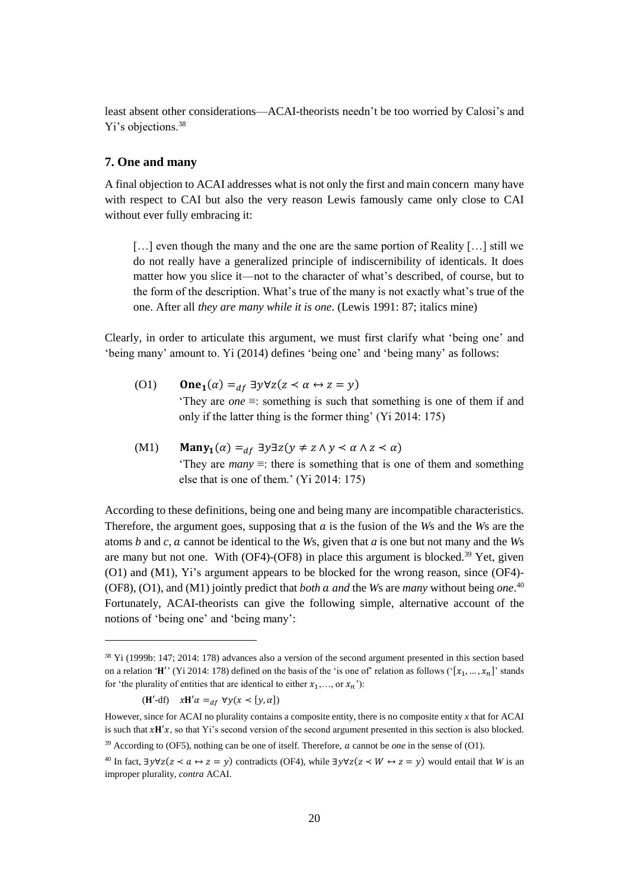least absent other considerations—ACAI-theorists needn't be too worried by Calosi's and Yi's objections.<sup>38</sup>

### **7. One and many**

A final objection to ACAI addresses what is not only the first and main concern many have with respect to CAI but also the very reason Lewis famously came only close to CAI without ever fully embracing it:

[…] even though the many and the one are the same portion of Reality […] still we do not really have a generalized principle of indiscernibility of identicals. It does matter how you slice it—not to the character of what's described, of course, but to the form of the description. What's true of the many is not exactly what's true of the one. After all *they are many while it is one*. (Lewis 1991: 87; italics mine)

Clearly, in order to articulate this argument, we must first clarify what 'being one' and 'being many' amount to. Yi (2014) defines 'being one' and 'being many' as follows:

- (O1) **One**<sub>1</sub>( $\alpha$ ) =  $_{df}$   $\exists y \forall z (z \prec \alpha \leftrightarrow z = y)$ 'They are *one* ≡: something is such that something is one of them if and only if the latter thing is the former thing' (Yi 2014: 175)
- (M1) **Many**<sub>1</sub> $(\alpha) =_{df} \exists y \exists z (y \neq z \land y \prec \alpha \land z \prec \alpha)$ 'They are *many* ≡: there is something that is one of them and something else that is one of them.' (Yi 2014: 175)

According to these definitions, being one and being many are incompatible characteristics. Therefore, the argument goes, supposing that  $\alpha$  is the fusion of the *W*s and the *Ws* are the atoms *b* and *c*,  $\alpha$  cannot be identical to the *W*s, given that  $\alpha$  is one but not many and the *Ws* are many but not one. With  $(OF4)-(OF8)$  in place this argument is blocked.<sup>39</sup> Yet, given (O1) and (M1), Yi's argument appears to be blocked for the wrong reason, since (OF4)- (OF8), (O1), and (M1) jointly predict that *both* a and the *Ws* are *many* without being one.<sup>40</sup> Fortunately, ACAI-theorists can give the following simple, alternative account of the notions of 'being one' and 'being many':

<sup>38</sup> Yi (1999b: 147; 2014: 178) advances also a version of the second argument presented in this section based on a relation 'H'' (Yi 2014: 178) defined on the basis of the 'is one of' relation as follows ('[ $x_1, ..., x_n$ ]' stands for 'the plurality of entities that are identical to either  $x_1, \ldots$ , or  $x_n$ '):

<sup>(</sup>H'-df)  $xH'\alpha =_{df} \forall y(x < [y, \alpha])$ 

However, since for ACAI no plurality contains a composite entity, there is no composite entity *x* that for ACAI is such that  $xH'x$ , so that Yi's second version of the second argument presented in this section is also blocked.

<sup>&</sup>lt;sup>39</sup> According to (OF5), nothing can be one of itself. Therefore,  $\alpha$  cannot be *one* in the sense of (O1).

<sup>&</sup>lt;sup>40</sup> In fact,  $\exists y \forall z (z \prec a \leftrightarrow z = y)$  contradicts (OF4), while  $\exists y \forall z (z \prec W \leftrightarrow z = y)$  would entail that *W* is an improper plurality, *contra* ACAI.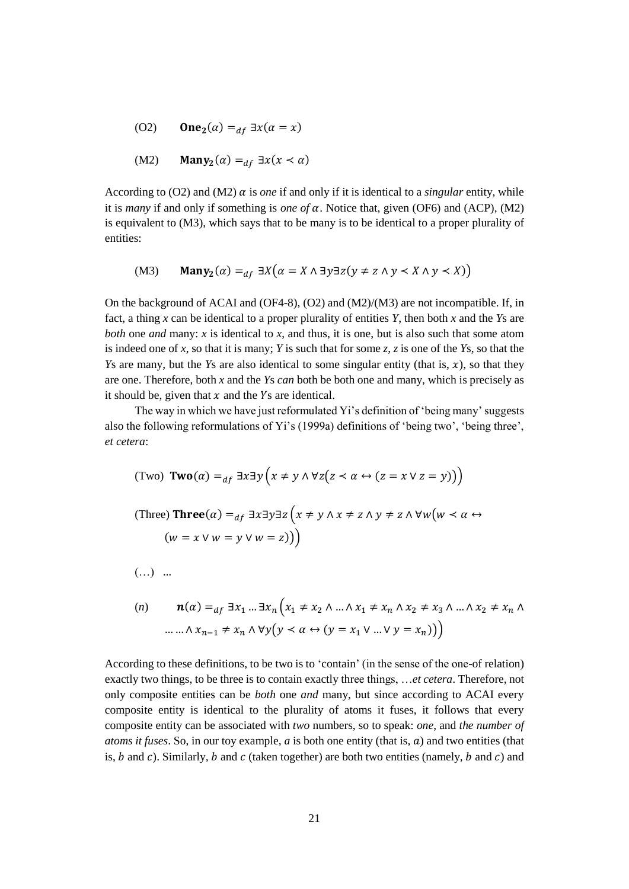$$
(O2) \qquad \mathbf{One}_2(\alpha) =_{df} \exists x (\alpha = x)
$$

$$
(M2) \qquad \text{Many}_2(\alpha) =_{df} \exists x (x < \alpha)
$$

According to (O2) and (M2)  $\alpha$  is *one* if and only if it is identical to a *singular* entity, while it is *many* if and only if something is *one of*  $\alpha$ . Notice that, given (OF6) and (ACP), (M2) is equivalent to (M3), which says that to be many is to be identical to a proper plurality of entities:

(M3) 
$$
\mathbf{Many}_2(\alpha) =_{df} \exists X (\alpha = X \land \exists y \exists z (y \neq z \land y \prec X \land y \prec X))
$$

On the background of ACAI and  $(OF4-8)$ ,  $(O2)$  and  $(M2)/(M3)$  are not incompatible. If, in fact, a thing *x* can be identical to a proper plurality of entities *Y*, then both *x* and the *Y*s are *both* one *and* many: *x* is identical to *x*, and thus, it is one, but is also such that some atom is indeed one of *x*, so that it is many; *Y* is such that for some *z*, *z* is one of the *Y*s, so that the *Y*s are many, but the *Y*s are also identical to some singular entity (that is,  $x$ ), so that they are one. Therefore, both *x* and the *Y*s *can* both be both one and many, which is precisely as it should be, given that  $x$  and the  $Y_s$  are identical.

The way in which we have just reformulated Yi's definition of 'being many' suggests also the following reformulations of Yi's (1999a) definitions of 'being two', 'being three', *et cetera*:

(Two) **Two**(
$$
\alpha
$$
) = <sub>$df$</sub>   $\exists x \exists y$   $\left(x \neq y \land \forall z (z \prec \alpha \leftrightarrow (z = x \lor z = y))\right)$   
(Three) **Three**( $\alpha$ ) = <sub>$df$</sub>   $\exists x \exists y \exists z$   $\left(x \neq y \land x \neq z \land y \neq z \land \forall w (w \prec \alpha \leftrightarrow (w = x \lor w = y \lor w = z))\right)$ 

(…) …

(*n*) () = ∃<sup>1</sup> … ∃ (<sup>1</sup> ≠ <sup>2</sup> ∧ … ∧ <sup>1</sup> ≠ ∧ <sup>2</sup> ≠ <sup>3</sup> ∧ … ∧ <sup>2</sup> ≠ ∧ … … ∧ −1 ≠ ∧ ∀( ≺ ↔ ( = <sup>1</sup> ∨ … ∨ = )))

According to these definitions, to be two is to 'contain' (in the sense of the one-of relation) exactly two things, to be three is to contain exactly three things, …*et cetera*. Therefore, not only composite entities can be *both* one *and* many, but since according to ACAI every composite entity is identical to the plurality of atoms it fuses, it follows that every composite entity can be associated with *two* numbers, so to speak: *one*, and *the number of atoms it fuses*. So, in our toy example, *a* is both one entity (that is, *a*) and two entities (that is, b and c). Similarly, b and c (taken together) are both two entities (namely, b and c) and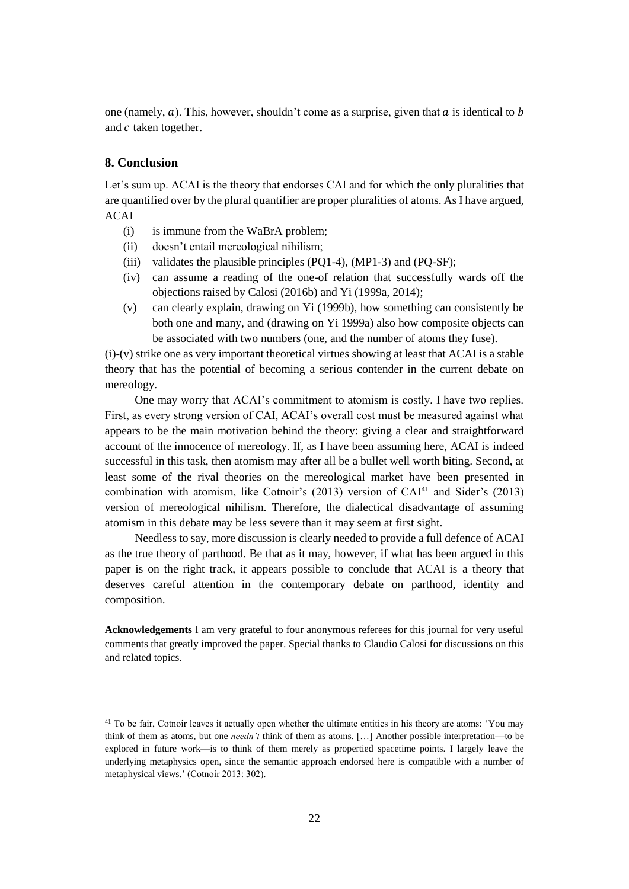one (namely,  $a$ ). This, however, shouldn't come as a surprise, given that  $a$  is identical to  $b$ and  $c$  taken together.

### **8. Conclusion**

l

Let's sum up. ACAI is the theory that endorses CAI and for which the only pluralities that are quantified over by the plural quantifier are proper pluralities of atoms. As I have argued, ACAI

- (i) is immune from the WaBrA problem;
- (ii) doesn't entail mereological nihilism;
- (iii) validates the plausible principles  $(PQ1-4)$ ,  $(MP1-3)$  and  $(PQ-SF)$ ;
- (iv) can assume a reading of the one-of relation that successfully wards off the objections raised by Calosi (2016b) and Yi (1999a, 2014);
- (v) can clearly explain, drawing on Yi (1999b), how something can consistently be both one and many, and (drawing on Yi 1999a) also how composite objects can be associated with two numbers (one, and the number of atoms they fuse).

(i)-(v) strike one as very important theoretical virtues showing at least that ACAI is a stable theory that has the potential of becoming a serious contender in the current debate on mereology.

One may worry that ACAI's commitment to atomism is costly. I have two replies. First, as every strong version of CAI, ACAI's overall cost must be measured against what appears to be the main motivation behind the theory: giving a clear and straightforward account of the innocence of mereology. If, as I have been assuming here, ACAI is indeed successful in this task, then atomism may after all be a bullet well worth biting. Second, at least some of the rival theories on the mereological market have been presented in combination with atomism, like Cotnoir's (2013) version of CAI<sup>41</sup> and Sider's (2013) version of mereological nihilism. Therefore, the dialectical disadvantage of assuming atomism in this debate may be less severe than it may seem at first sight.

Needless to say, more discussion is clearly needed to provide a full defence of ACAI as the true theory of parthood. Be that as it may, however, if what has been argued in this paper is on the right track, it appears possible to conclude that ACAI is a theory that deserves careful attention in the contemporary debate on parthood, identity and composition.

**Acknowledgements** I am very grateful to four anonymous referees for this journal for very useful comments that greatly improved the paper. Special thanks to Claudio Calosi for discussions on this and related topics.

<sup>&</sup>lt;sup>41</sup> To be fair, Cotnoir leaves it actually open whether the ultimate entities in his theory are atoms: 'You may think of them as atoms, but one *needn't* think of them as atoms. […] Another possible interpretation—to be explored in future work—is to think of them merely as propertied spacetime points. I largely leave the underlying metaphysics open, since the semantic approach endorsed here is compatible with a number of metaphysical views.' (Cotnoir 2013: 302).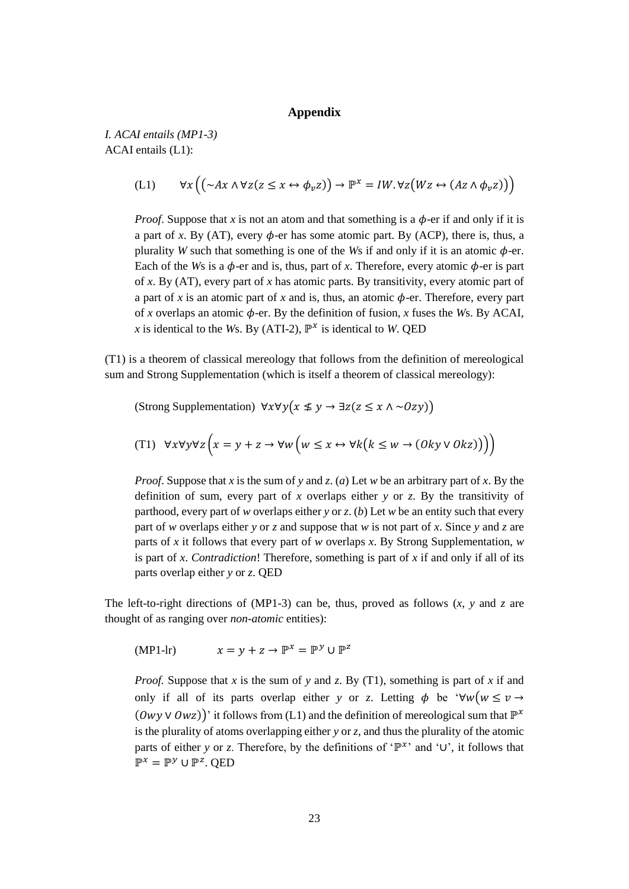### **Appendix**

*I. ACAI entails (MP1-3)* ACAI entails (L1):

$$
(L1) \qquad \forall x \left( \left( \sim Ax \land \forall z (z \leq x \leftrightarrow \phi_v z) \right) \to \mathbb{P}^x = I W. \forall z \left( W z \leftrightarrow (Az \land \phi_v z) \right) \right)
$$

*Proof.* Suppose that *x* is not an atom and that something is a  $\phi$ -er if and only if it is a part of *x*. By (AT), every  $\phi$ -er has some atomic part. By (ACP), there is, thus, a plurality *W* such that something is one of the *W*s if and only if it is an atomic  $\phi$ -er. Each of the *Ws* is a  $\phi$ -er and is, thus, part of *x*. Therefore, every atomic  $\phi$ -er is part of *x*. By (AT), every part of *x* has atomic parts. By transitivity, every atomic part of a part of *x* is an atomic part of *x* and is, thus, an atomic  $\phi$ -er. Therefore, every part of *x* overlaps an atomic  $\phi$ -er. By the definition of fusion, *x* fuses the *W*s. By ACAI, x is identical to the *W*s. By (ATI-2),  $\mathbb{P}^x$  is identical to *W*. QED

(T1) is a theorem of classical mereology that follows from the definition of mereological sum and Strong Supplementation (which is itself a theorem of classical mereology):

(Strong Supplementation)  $\forall x \forall y (x \leq y \rightarrow \exists z (z \leq x \land \sim 0zy))$ 

(T1) 
$$
\forall x \forall y \forall z \left( x = y + z \rightarrow \forall w \left( w \leq x \leftrightarrow \forall k \left( k \leq w \rightarrow (0 \, k \, y \vee 0 \, k \, z) \right) \right) \right)
$$

*Proof*. Suppose that *x* is the sum of *y* and *z*. (*a*) Let *w* be an arbitrary part of *x*. By the definition of sum, every part of *x* overlaps either *y* or *z*. By the transitivity of parthood, every part of *w* overlaps either *y* or *z*. (*b*) Let *w* be an entity such that every part of *w* overlaps either *y* or *z* and suppose that *w* is not part of *x*. Since *y* and *z* are parts of *x* it follows that every part of *w* overlaps *x*. By Strong Supplementation, *w* is part of *x*. *Contradiction*! Therefore, something is part of *x* if and only if all of its parts overlap either *y* or *z*. QED

The left-to-right directions of (MP1-3) can be, thus, proved as follows (*x*, *y* and *z* are thought of as ranging over *non-atomic* entities):

$$
(MP1-lr) \t x = y + z \rightarrow \mathbb{P}^x = \mathbb{P}^y \cup \mathbb{P}^z
$$

*Proof.* Suppose that *x* is the sum of *y* and *z*. By (T1), something is part of *x* if and only if all of its parts overlap either *y* or *z*. Letting  $\phi$  be ' $\forall w(w \le v \rightarrow w)$  $(0wy \vee 0wz)$ ' it follows from (L1) and the definition of mereological sum that  $\mathbb{P}^x$ is the plurality of atoms overlapping either *y* or *z*, and thus the plurality of the atomic parts of either *y* or *z*. Therefore, by the definitions of ' $\mathbb{P}^{x}$  and '∪', it follows that  $\mathbb{P}^x = \mathbb{P}^y \cup \mathbb{P}^z$ . QED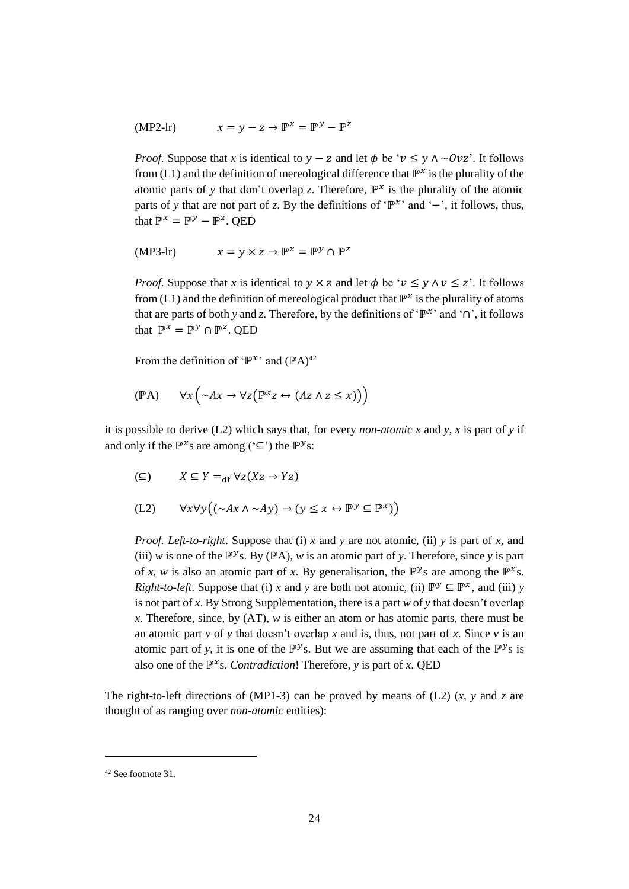$$
(MP2-1r) \t x = y - z \rightarrow \mathbb{P}^x = \mathbb{P}^y - \mathbb{P}^z
$$

*Proof.* Suppose that *x* is identical to  $y - z$  and let  $\phi$  be ' $v \le y \wedge \sim Ovz$ '. It follows from (L1) and the definition of mereological difference that  $\mathbb{P}^x$  is the plurality of the atomic parts of *y* that don't overlap *z*. Therefore,  $\mathbb{P}^{x}$  is the plurality of the atomic parts of *y* that are not part of *z*. By the definitions of ' $\mathbb{P}^{x}$ ' and '–', it follows, thus, that  $\mathbb{P}^x = \mathbb{P}^y - \mathbb{P}^z$ . QED

$$
(MP3-1r) \t x = y \times z \to \mathbb{P}^x = \mathbb{P}^y \cap \mathbb{P}^z
$$

*Proof.* Suppose that *x* is identical to  $y \times z$  and let  $\phi$  be ' $v \le y \land v \le z$ '. It follows from (L1) and the definition of mereological product that  $\mathbb{P}^{x}$  is the plurality of atoms that are parts of both *y* and *z*. Therefore, by the definitions of ' $\mathbb{P}^{x}$ ' and '∩', it follows that  $\mathbb{P}^x = \mathbb{P}^y \cap \mathbb{P}^z$ . QED

From the definition of ' $\mathbb{P}^{x}$  and  $(\mathbb{P}A)^{42}$ 

$$
(\mathbb{P}\mathbf{A}) \qquad \forall x \left( \sim A x \to \forall z \big( \mathbb{P}^x z \leftrightarrow (Az \land z \leq x) \big) \right)
$$

it is possible to derive (L2) which says that, for every *non-atomic x* and *y*, *x* is part of *y* if and only if the  $\mathbb{P}^{x}$ s are among ('⊆') the  $\mathbb{P}^{y}$ s:

 $(X \subseteq Y =_{df} \forall z (Xz \rightarrow Yz))$ 

$$
(L2) \qquad \forall x \forall y ((\neg Ax \land \neg Ay) \to (y \le x \leftrightarrow \mathbb{P}^y \subseteq \mathbb{P}^x))
$$

*Proof. Left-to-right*. Suppose that (i) *x* and *y* are not atomic, (ii) *y* is part of *x*, and (iii) *w* is one of the  $\mathbb{P}^{\mathcal{Y}}$ s. By ( $\mathbb{P}$ A), *w* is an atomic part of *y*. Therefore, since *y* is part of *x*, *w* is also an atomic part of *x*. By generalisation, the  $\mathbb{P}^y$ s are among the  $\mathbb{P}^x$ s. *Right-to-left*. Suppose that (i) *x* and *y* are both not atomic, (ii)  $\mathbb{P}^{\mathcal{Y}} \subseteq \mathbb{P}^{\mathcal{X}}$ , and (iii) *y* is not part of *x*. By Strong Supplementation, there is a part *w* of *y* that doesn't overlap *x*. Therefore, since, by (AT), *w* is either an atom or has atomic parts, there must be an atomic part  $\nu$  of  $\gamma$  that doesn't overlap  $x$  and is, thus, not part of  $x$ . Since  $\nu$  is an atomic part of *y*, it is one of the  $\mathbb{P}^{\gamma}$ s. But we are assuming that each of the  $\mathbb{P}^{\gamma}$ s is also one of the  $\mathbb{P}^{x}$ s. *Contradiction*! Therefore, *y* is part of *x*. QED

The right-to-left directions of (MP1-3) can be proved by means of (L2) (*x*, *y* and *z* are thought of as ranging over *non-atomic* entities):

 $\overline{\phantom{a}}$ 

<sup>42</sup> See footnote 31.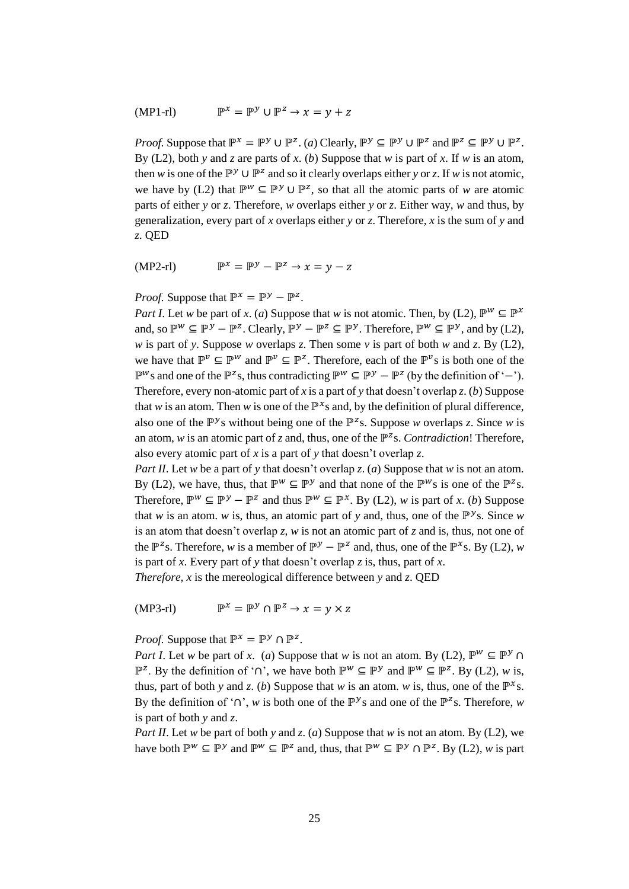#### $(MP1-rl)$  $x = \mathbb{P}^{\mathcal{Y}} \cup \mathbb{P}^{\mathcal{Z}} \to x = y + z$

*Proof.* Suppose that  $\mathbb{P}^x = \mathbb{P}^y \cup \mathbb{P}^z$ . (*a*) Clearly,  $\mathbb{P}^y \subseteq \mathbb{P}^y \cup \mathbb{P}^z$  and  $\mathbb{P}^z \subseteq \mathbb{P}^y \cup \mathbb{P}^z$ . By (L2), both *y* and *z* are parts of *x*. (*b*) Suppose that *w* is part of *x*. If *w* is an atom, then *w* is one of the  $\mathbb{P}^{y} \cup \mathbb{P}^{z}$  and so it clearly overlaps either *y* or *z*. If *w* is not atomic, we have by (L2) that  $\mathbb{P}^W \subseteq \mathbb{P}^Y \cup \mathbb{P}^Z$ , so that all the atomic parts of *w* are atomic parts of either *y* or *z*. Therefore, *w* overlaps either *y* or *z*. Either way, *w* and thus, by generalization, every part of *x* overlaps either *y* or *z*. Therefore, *x* is the sum of *y* and *z*. QED

$$
(MP2\text{-}rl) \qquad \mathbb{P}^x = \mathbb{P}^y - \mathbb{P}^z \to x = y - z
$$

*Proof.* Suppose that  $\mathbb{P}^x = \mathbb{P}^y - \mathbb{P}^z$ .

*Part I*. Let *w* be part of *x*. (*a*) Suppose that *w* is not atomic. Then, by (L2),  $\mathbb{P}^w \subseteq \mathbb{P}^x$ and, so  $\mathbb{P}^W \subseteq \mathbb{P}^Y - \mathbb{P}^Z$ . Clearly,  $\mathbb{P}^Y - \mathbb{P}^Z \subseteq \mathbb{P}^Y$ . Therefore,  $\mathbb{P}^W \subseteq \mathbb{P}^Y$ , and by (L2), *w* is part of *y*. Suppose *w* overlaps *z*. Then some *v* is part of both *w* and *z*. By (L2), we have that  $\mathbb{P}^{\nu} \subseteq \mathbb{P}^{\nu}$  and  $\mathbb{P}^{\nu} \subseteq \mathbb{P}^{\mathbb{Z}}$ . Therefore, each of the  $\mathbb{P}^{\nu}$ s is both one of the  $\mathbb{P}^w$ s and one of the  $\mathbb{P}^z$ s, thus contradicting  $\mathbb{P}^w \subseteq \mathbb{P}^y - \mathbb{P}^z$  (by the definition of '–'). Therefore, every non-atomic part of *x* is a part of *y* that doesn't overlap *z*. (*b*) Suppose that *w* is an atom. Then *w* is one of the  $\mathbb{P}^{x}$ s and, by the definition of plural difference, also one of the  $\mathbb{P}^{y}$ s without being one of the  $\mathbb{P}^{z}$ s. Suppose *w* overlaps *z*. Since *w* is an atom, *w* is an atomic part of *z* and, thus, one of the  $\mathbb{P}^z$ s. *Contradiction*! Therefore, also every atomic part of *x* is a part of *y* that doesn't overlap *z*.

*Part II*. Let *w* be a part of *y* that doesn't overlap *z*. (*a*) Suppose that *w* is not an atom. By (L2), we have, thus, that  $\mathbb{P}^W \subseteq \mathbb{P}^Y$  and that none of the  $\mathbb{P}^W$ s is one of the  $\mathbb{P}^Z$ s. Therefore,  $\mathbb{P}^w \subseteq \mathbb{P}^y - \mathbb{P}^z$  and thus  $\mathbb{P}^w \subseteq \mathbb{P}^x$ . By (L2), *w* is part of *x*. (*b*) Suppose that *w* is an atom. *w* is, thus, an atomic part of *y* and, thus, one of the  $\mathbb{P}^{y}$ s. Since *w* is an atom that doesn't overlap *z*, *w* is not an atomic part of *z* and is, thus, not one of the  $\mathbb{P}^z$ s. Therefore, *w* is a member of  $\mathbb{P}^y - \mathbb{P}^z$  and, thus, one of the  $\mathbb{P}^x$ s. By (L2), *w* is part of *x*. Every part of *y* that doesn't overlap *z* is, thus, part of *x*.

*Therefore, x* is the mereological difference between *y* and *z*. QED

 $(MP3-rl)$  $x = \mathbb{P}^{\mathcal{Y}} \cap \mathbb{P}^{\mathcal{Z}} \to x = y \times z$ 

*Proof.* Suppose that  $\mathbb{P}^x = \mathbb{P}^y \cap \mathbb{P}^z$ .

*Part I*. Let *w* be part of *x*. (*a*) Suppose that *w* is not an atom. By (L2),  $\mathbb{P}^W \subseteq \mathbb{P}^Y \cap \mathbb{P}^Y$  $\mathbb{P}^z$ . By the definition of '∩', we have both  $\mathbb{P}^w \subseteq \mathbb{P}^y$  and  $\mathbb{P}^w \subseteq \mathbb{P}^z$ . By (L2), w is, thus, part of both *y* and *z*. (*b*) Suppose that *w* is an atom. *w* is, thus, one of the  $\mathbb{P}^{x}$ s. By the definition of '∩', *w* is both one of the  $\mathbb{P}^{y}$ s and one of the  $\mathbb{P}^{z}$ s. Therefore, *w* is part of both *y* and *z*.

*Part II*. Let *w* be part of both *y* and *z*. (*a*) Suppose that *w* is not an atom. By (L2), we have both  $\mathbb{P}^W \subseteq \mathbb{P}^Y$  and  $\mathbb{P}^W \subseteq \mathbb{P}^Z$  and, thus, that  $\mathbb{P}^W \subseteq \mathbb{P}^Y \cap \mathbb{P}^Z$ . By (L2), w is part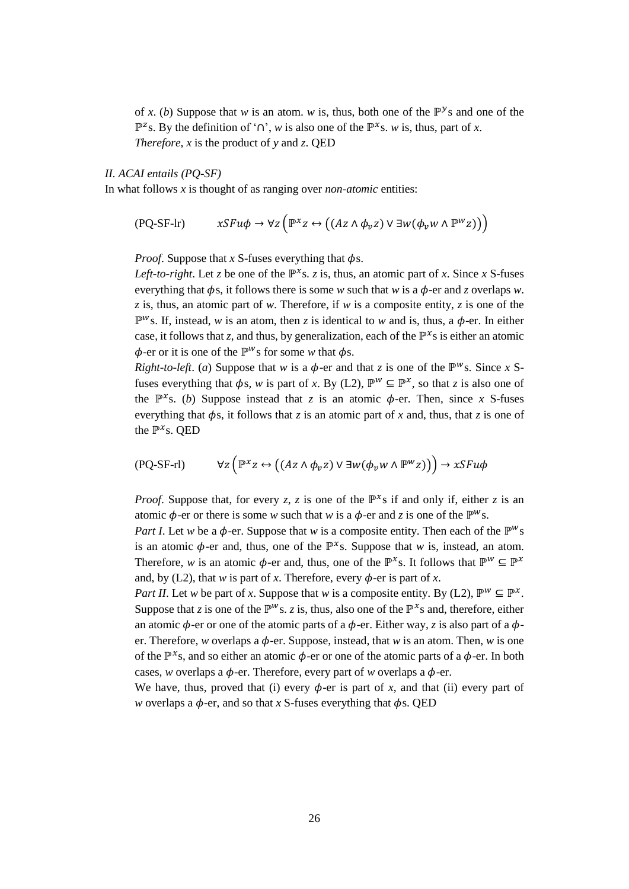of *x*. (*b*) Suppose that *w* is an atom. *w* is, thus, both one of the  $\mathbb{P}^{y}$ s and one of the ℙ s. By the definition of '∩', *w* is also one of the ℙ s. *w* is, thus, part of *x*. *Therefore*, *x* is the product of *y* and *z*. QED

#### *II. ACAI entails (PQ-SF)*

In what follows *x* is thought of as ranging over *non-atomic* entities:

$$
(\text{PQ-SF-lr}) \qquad xSFu\phi \to \forall z \left( \mathbb{P}^x z \leftrightarrow \left( (Az \land \phi_v z) \lor \exists w (\phi_v w \land \mathbb{P}^w z) \right) \right)
$$

*Proof.* Suppose that  $x$  S-fuses everything that  $\phi$ s.

*Left-to-right*. Let *z* be one of the  $\mathbb{P}^{x}$ s. *z* is, thus, an atomic part of *x*. Since *x* S-fuses everything that  $\phi$ s, it follows there is some *w* such that *w* is a  $\phi$ -er and *z* overlaps *w*. *z* is, thus, an atomic part of *w*. Therefore, if *w* is a composite entity, *z* is one of the  $\mathbb{P}^{w}$ s. If, instead, *w* is an atom, then *z* is identical to *w* and is, thus, a  $\phi$ -er. In either case, it follows that *z*, and thus, by generalization, each of the  $\mathbb{P}^{x}$ s is either an atomic  $\phi$ -er or it is one of the  $\mathbb{P}^w$ s for some *w* that  $\phi$ s.

*Right-to-left.* (*a*) Suppose that *w* is a  $\phi$ -er and that *z* is one of the  $\mathbb{P}^w$ s. Since *x* Sfuses everything that  $\phi$ s, *w* is part of *x*. By (L2),  $\mathbb{P}^w \subseteq \mathbb{P}^x$ , so that *z* is also one of the  $\mathbb{P}^{x}$ s. (*b*) Suppose instead that *z* is an atomic  $\phi$ -er. Then, since *x* S-fuses everything that  $\phi$ s, it follows that *z* is an atomic part of *x* and, thus, that *z* is one of the  $\mathbb{P}^{x}$ s. QED

$$
(PQ-SF-rl) \qquad \forall z \left( \mathbb{P}^x z \leftrightarrow ((Az \wedge \phi_v z) \vee \exists w (\phi_v w \wedge \mathbb{P}^w z)) \right) \rightarrow xSFu\phi
$$

*Proof.* Suppose that, for every *z*, *z* is one of the  $\mathbb{P}^{x}$ s if and only if, either *z* is an atomic  $\phi$ -er or there is some *w* such that *w* is a  $\phi$ -er and *z* is one of the  $\mathbb{P}^w$ s.

*Part I*. Let *w* be a  $\phi$ -er. Suppose that *w* is a composite entity. Then each of the  $\mathbb{P}^w$ s is an atomic  $\phi$ -er and, thus, one of the  $\mathbb{P}^{x}$ s. Suppose that *w* is, instead, an atom. Therefore, *w* is an atomic  $\phi$ -er and, thus, one of the  $\mathbb{P}^{x}$ s. It follows that  $\mathbb{P}^{w} \subseteq \mathbb{P}^{x}$ and, by (L2), that *w* is part of *x*. Therefore, every  $\phi$ -er is part of *x*.

*Part II*. Let *w* be part of *x*. Suppose that *w* is a composite entity. By (L2),  $\mathbb{P}^w \subseteq \mathbb{P}^x$ . Suppose that *z* is one of the  $\mathbb{P}^w$ s. *z* is, thus, also one of the  $\mathbb{P}^x$ s and, therefore, either an atomic  $\phi$ -er or one of the atomic parts of a  $\phi$ -er. Either way, *z* is also part of a  $\phi$ er. Therefore, *w* overlaps a  $\phi$ -er. Suppose, instead, that *w* is an atom. Then, *w* is one of the  $\mathbb{P}^{x}$ s, and so either an atomic  $\phi$ -er or one of the atomic parts of a  $\phi$ -er. In both cases, *w* overlaps a  $\phi$ -er. Therefore, every part of *w* overlaps a  $\phi$ -er.

We have, thus, proved that (i) every  $\phi$ -er is part of *x*, and that (ii) every part of *w* overlaps a  $\phi$ -er, and so that *x* S-fuses everything that  $\phi$ s. QED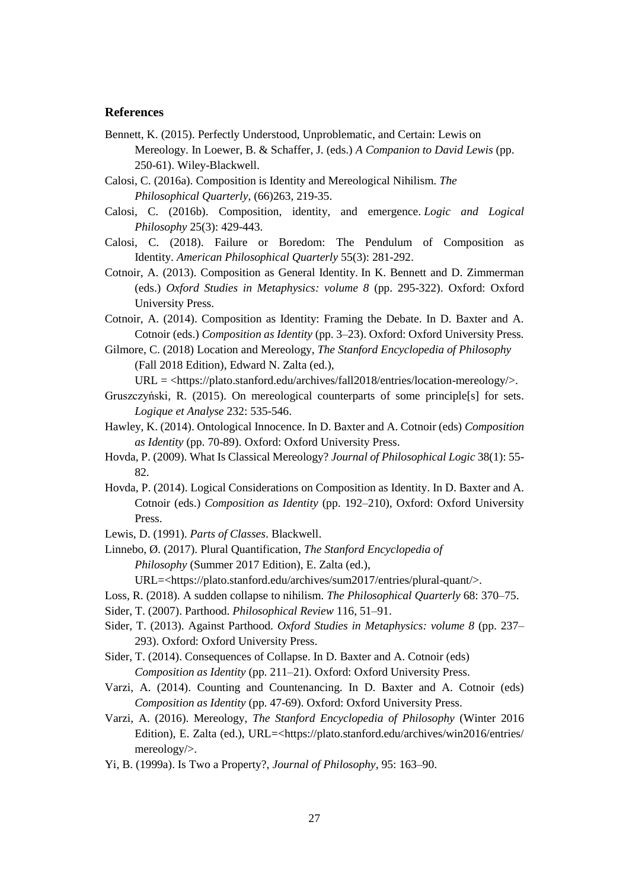# **References**

- Bennett, K. (2015). Perfectly Understood, Unproblematic, and Certain: Lewis on Mereology. In Loewer, B. & Schaffer, J. (eds.) *A Companion to David Lewis* (pp. 250-61). Wiley-Blackwell.
- Calosi, C. (2016a). Composition is Identity and Mereological Nihilism. *The Philosophical Quarterly*, (66)263, 219-35.
- Calosi, C. (2016b). Composition, identity, and emergence. *Logic and Logical Philosophy* 25(3): 429-443.
- Calosi, C. (2018). Failure or Boredom: The Pendulum of Composition as Identity. *American Philosophical Quarterly* 55(3): 281-292.
- Cotnoir, A. (2013). Composition as General Identity. In K. Bennett and D. Zimmerman (eds.) *Oxford Studies in Metaphysics: volume 8* (pp. 295-322). Oxford: Oxford University Press.
- Cotnoir, A. (2014). Composition as Identity: Framing the Debate. In D. Baxter and A. Cotnoir (eds.) *Composition as Identity* (pp. 3–23). Oxford: Oxford University Press.
- Gilmore, C. (2018) Location and Mereology, *The Stanford Encyclopedia of Philosophy* (Fall 2018 Edition), Edward N. Zalta (ed.),

 $URL = <$ https://plato.stanford.edu/archives/fall2018/entries/location-mereology/>.

- Gruszczyński, R. (2015). On mereological counterparts of some principle[s] for sets. *Logique et Analyse* 232: 535-546.
- Hawley, K. (2014). Ontological Innocence. In D. Baxter and A. Cotnoir (eds) *Composition as Identity* (pp. 70-89). Oxford: Oxford University Press.
- Hovda, P. (2009). What Is Classical Mereology? *Journal of Philosophical Logic* 38(1): 55- 82.
- Hovda, P. (2014). Logical Considerations on Composition as Identity. In D. Baxter and A. Cotnoir (eds.) *Composition as Identity* (pp. 192–210), Oxford: Oxford University Press.
- Lewis, D. (1991). *Parts of Classes*. Blackwell.
- Linnebo, Ø. (2017). Plural Quantification, *The Stanford Encyclopedia of Philosophy* (Summer 2017 Edition), E. Zalta (ed.),

URL=<https://plato.stanford.edu/archives/sum2017/entries/plural-quant/>.

- Loss, R. (2018). A sudden collapse to nihilism. *The Philosophical Quarterly* 68: 370–75.
- Sider, T. (2007). Parthood. *Philosophical Review* 116, 51–91.
- Sider, T. (2013). Against Parthood. *Oxford Studies in Metaphysics: volume 8* (pp. 237– 293). Oxford: Oxford University Press.
- Sider, T. (2014). Consequences of Collapse. In D. Baxter and A. Cotnoir (eds) *Composition as Identity* (pp. 211–21). Oxford: Oxford University Press.
- Varzi, A. (2014). Counting and Countenancing. In D. Baxter and A. Cotnoir (eds) *Composition as Identity* (pp. 47-69). Oxford: Oxford University Press.
- Varzi, A. (2016). Mereology, *The Stanford Encyclopedia of Philosophy* (Winter 2016 Edition), E. Zalta (ed.), URL=<https://plato.stanford.edu/archives/win2016/entries/ mereology/>.
- Yi, B. (1999a). Is Two a Property?, *Journal of Philosophy*, 95: 163–90.